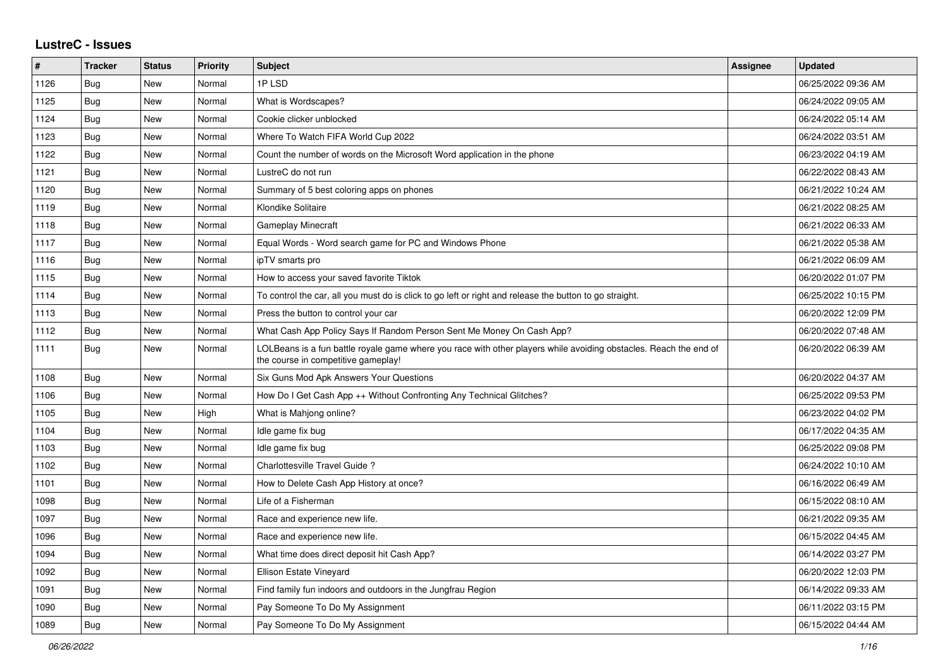## **LustreC - Issues**

| #    | <b>Tracker</b> | <b>Status</b> | <b>Priority</b> | <b>Subject</b>                                                                                                                                           | <b>Assignee</b> | <b>Updated</b>      |
|------|----------------|---------------|-----------------|----------------------------------------------------------------------------------------------------------------------------------------------------------|-----------------|---------------------|
| 1126 | <b>Bug</b>     | New           | Normal          | 1PLSD                                                                                                                                                    |                 | 06/25/2022 09:36 AM |
| 1125 | Bug            | New           | Normal          | What is Wordscapes?                                                                                                                                      |                 | 06/24/2022 09:05 AM |
| 1124 | <b>Bug</b>     | New           | Normal          | Cookie clicker unblocked                                                                                                                                 |                 | 06/24/2022 05:14 AM |
| 1123 | <b>Bug</b>     | New           | Normal          | Where To Watch FIFA World Cup 2022                                                                                                                       |                 | 06/24/2022 03:51 AM |
| 1122 | <b>Bug</b>     | New           | Normal          | Count the number of words on the Microsoft Word application in the phone                                                                                 |                 | 06/23/2022 04:19 AM |
| 1121 | Bug            | New           | Normal          | LustreC do not run                                                                                                                                       |                 | 06/22/2022 08:43 AM |
| 1120 | Bug            | New           | Normal          | Summary of 5 best coloring apps on phones                                                                                                                |                 | 06/21/2022 10:24 AM |
| 1119 | Bug            | New           | Normal          | Klondike Solitaire                                                                                                                                       |                 | 06/21/2022 08:25 AM |
| 1118 | Bug            | New           | Normal          | <b>Gameplay Minecraft</b>                                                                                                                                |                 | 06/21/2022 06:33 AM |
| 1117 | <b>Bug</b>     | New           | Normal          | Equal Words - Word search game for PC and Windows Phone                                                                                                  |                 | 06/21/2022 05:38 AM |
| 1116 | Bug            | New           | Normal          | ipTV smarts pro                                                                                                                                          |                 | 06/21/2022 06:09 AM |
| 1115 | <b>Bug</b>     | New           | Normal          | How to access your saved favorite Tiktok                                                                                                                 |                 | 06/20/2022 01:07 PM |
| 1114 | <b>Bug</b>     | New           | Normal          | To control the car, all you must do is click to go left or right and release the button to go straight.                                                  |                 | 06/25/2022 10:15 PM |
| 1113 | Bug            | New           | Normal          | Press the button to control your car                                                                                                                     |                 | 06/20/2022 12:09 PM |
| 1112 | <b>Bug</b>     | New           | Normal          | What Cash App Policy Says If Random Person Sent Me Money On Cash App?                                                                                    |                 | 06/20/2022 07:48 AM |
| 1111 | <b>Bug</b>     | <b>New</b>    | Normal          | LOLBeans is a fun battle royale game where you race with other players while avoiding obstacles. Reach the end of<br>the course in competitive gameplay! |                 | 06/20/2022 06:39 AM |
| 1108 | <b>Bug</b>     | New           | Normal          | Six Guns Mod Apk Answers Your Questions                                                                                                                  |                 | 06/20/2022 04:37 AM |
| 1106 | Bug            | New           | Normal          | How Do I Get Cash App ++ Without Confronting Any Technical Glitches?                                                                                     |                 | 06/25/2022 09:53 PM |
| 1105 | <b>Bug</b>     | New           | High            | What is Mahjong online?                                                                                                                                  |                 | 06/23/2022 04:02 PM |
| 1104 | Bug            | New           | Normal          | Idle game fix bug                                                                                                                                        |                 | 06/17/2022 04:35 AM |
| 1103 | <b>Bug</b>     | New           | Normal          | Idle game fix bug                                                                                                                                        |                 | 06/25/2022 09:08 PM |
| 1102 | Bug            | New           | Normal          | Charlottesville Travel Guide?                                                                                                                            |                 | 06/24/2022 10:10 AM |
| 1101 | Bug            | <b>New</b>    | Normal          | How to Delete Cash App History at once?                                                                                                                  |                 | 06/16/2022 06:49 AM |
| 1098 | <b>Bug</b>     | <b>New</b>    | Normal          | Life of a Fisherman                                                                                                                                      |                 | 06/15/2022 08:10 AM |
| 1097 | <b>Bug</b>     | New           | Normal          | Race and experience new life.                                                                                                                            |                 | 06/21/2022 09:35 AM |
| 1096 | <b>Bug</b>     | New           | Normal          | Race and experience new life.                                                                                                                            |                 | 06/15/2022 04:45 AM |
| 1094 | <b>Bug</b>     | New           | Normal          | What time does direct deposit hit Cash App?                                                                                                              |                 | 06/14/2022 03:27 PM |
| 1092 | <b>Bug</b>     | <b>New</b>    | Normal          | <b>Ellison Estate Vineyard</b>                                                                                                                           |                 | 06/20/2022 12:03 PM |
| 1091 | Bug            | New           | Normal          | Find family fun indoors and outdoors in the Jungfrau Region                                                                                              |                 | 06/14/2022 09:33 AM |
| 1090 | <b>Bug</b>     | New           | Normal          | Pay Someone To Do My Assignment                                                                                                                          |                 | 06/11/2022 03:15 PM |
| 1089 | Bug            | New           | Normal          | Pay Someone To Do My Assignment                                                                                                                          |                 | 06/15/2022 04:44 AM |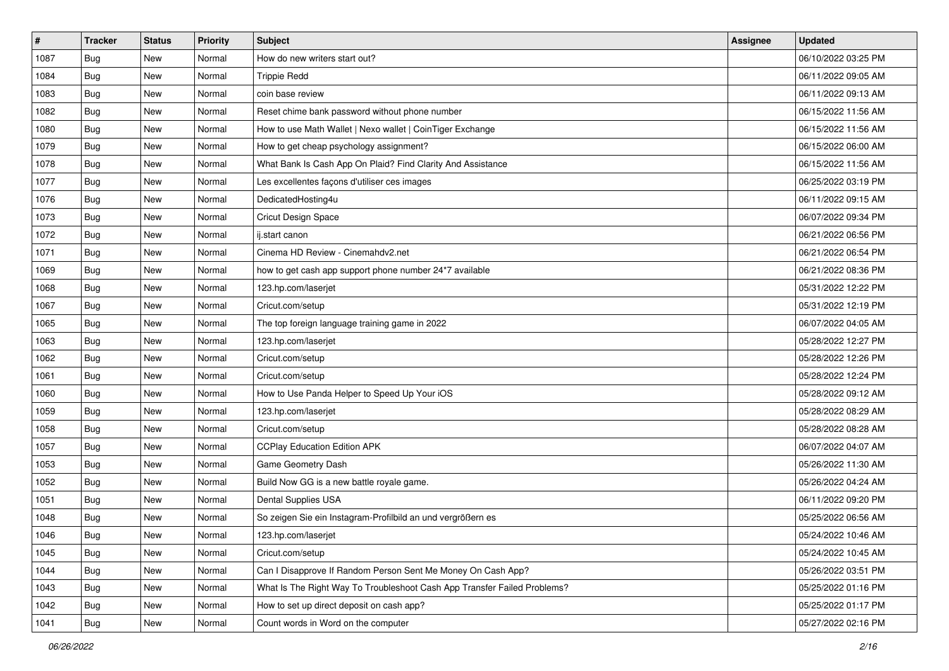| $\vert$ # | <b>Tracker</b> | <b>Status</b> | Priority | Subject                                                                  | <b>Assignee</b> | <b>Updated</b>      |
|-----------|----------------|---------------|----------|--------------------------------------------------------------------------|-----------------|---------------------|
| 1087      | <b>Bug</b>     | New           | Normal   | How do new writers start out?                                            |                 | 06/10/2022 03:25 PM |
| 1084      | Bug            | New           | Normal   | <b>Trippie Redd</b>                                                      |                 | 06/11/2022 09:05 AM |
| 1083      | Bug            | New           | Normal   | coin base review                                                         |                 | 06/11/2022 09:13 AM |
| 1082      | <b>Bug</b>     | New           | Normal   | Reset chime bank password without phone number                           |                 | 06/15/2022 11:56 AM |
| 1080      | <b>Bug</b>     | <b>New</b>    | Normal   | How to use Math Wallet   Nexo wallet   CoinTiger Exchange                |                 | 06/15/2022 11:56 AM |
| 1079      | <b>Bug</b>     | New           | Normal   | How to get cheap psychology assignment?                                  |                 | 06/15/2022 06:00 AM |
| 1078      | <b>Bug</b>     | New           | Normal   | What Bank Is Cash App On Plaid? Find Clarity And Assistance              |                 | 06/15/2022 11:56 AM |
| 1077      | <b>Bug</b>     | New           | Normal   | Les excellentes façons d'utiliser ces images                             |                 | 06/25/2022 03:19 PM |
| 1076      | <b>Bug</b>     | New           | Normal   | DedicatedHosting4u                                                       |                 | 06/11/2022 09:15 AM |
| 1073      | Bug            | New           | Normal   | Cricut Design Space                                                      |                 | 06/07/2022 09:34 PM |
| 1072      | <b>Bug</b>     | New           | Normal   | ij.start canon                                                           |                 | 06/21/2022 06:56 PM |
| 1071      | <b>Bug</b>     | New           | Normal   | Cinema HD Review - Cinemahdv2.net                                        |                 | 06/21/2022 06:54 PM |
| 1069      | Bug            | New           | Normal   | how to get cash app support phone number 24*7 available                  |                 | 06/21/2022 08:36 PM |
| 1068      | <b>Bug</b>     | New           | Normal   | 123.hp.com/laserjet                                                      |                 | 05/31/2022 12:22 PM |
| 1067      | <b>Bug</b>     | New           | Normal   | Cricut.com/setup                                                         |                 | 05/31/2022 12:19 PM |
| 1065      | <b>Bug</b>     | New           | Normal   | The top foreign language training game in 2022                           |                 | 06/07/2022 04:05 AM |
| 1063      | <b>Bug</b>     | New           | Normal   | 123.hp.com/laserjet                                                      |                 | 05/28/2022 12:27 PM |
| 1062      | <b>Bug</b>     | New           | Normal   | Cricut.com/setup                                                         |                 | 05/28/2022 12:26 PM |
| 1061      | <b>Bug</b>     | New           | Normal   | Cricut.com/setup                                                         |                 | 05/28/2022 12:24 PM |
| 1060      | <b>Bug</b>     | New           | Normal   | How to Use Panda Helper to Speed Up Your iOS                             |                 | 05/28/2022 09:12 AM |
| 1059      | <b>Bug</b>     | New           | Normal   | 123.hp.com/laserjet                                                      |                 | 05/28/2022 08:29 AM |
| 1058      | <b>Bug</b>     | New           | Normal   | Cricut.com/setup                                                         |                 | 05/28/2022 08:28 AM |
| 1057      | Bug            | <b>New</b>    | Normal   | <b>CCPlay Education Edition APK</b>                                      |                 | 06/07/2022 04:07 AM |
| 1053      | Bug            | New           | Normal   | Game Geometry Dash                                                       |                 | 05/26/2022 11:30 AM |
| 1052      | <b>Bug</b>     | New           | Normal   | Build Now GG is a new battle royale game.                                |                 | 05/26/2022 04:24 AM |
| 1051      | <b>Bug</b>     | New           | Normal   | Dental Supplies USA                                                      |                 | 06/11/2022 09:20 PM |
| 1048      | <b>Bug</b>     | New           | Normal   | So zeigen Sie ein Instagram-Profilbild an und vergrößern es              |                 | 05/25/2022 06:56 AM |
| 1046      | <b>Bug</b>     | New           | Normal   | 123.hp.com/laserjet                                                      |                 | 05/24/2022 10:46 AM |
| 1045      | <b>Bug</b>     | New           | Normal   | Cricut.com/setup                                                         |                 | 05/24/2022 10:45 AM |
| 1044      | <b>Bug</b>     | New           | Normal   | Can I Disapprove If Random Person Sent Me Money On Cash App?             |                 | 05/26/2022 03:51 PM |
| 1043      | Bug            | New           | Normal   | What Is The Right Way To Troubleshoot Cash App Transfer Failed Problems? |                 | 05/25/2022 01:16 PM |
| 1042      | <b>Bug</b>     | New           | Normal   | How to set up direct deposit on cash app?                                |                 | 05/25/2022 01:17 PM |
| 1041      | Bug            | New           | Normal   | Count words in Word on the computer                                      |                 | 05/27/2022 02:16 PM |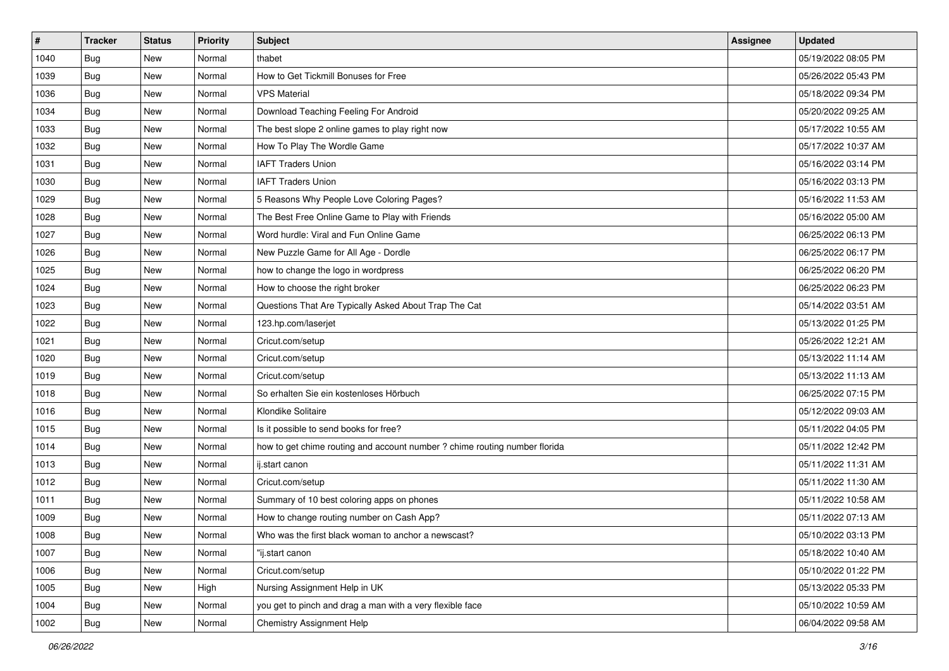| #    | <b>Tracker</b> | <b>Status</b> | Priority | Subject                                                                    | <b>Assignee</b> | <b>Updated</b>      |
|------|----------------|---------------|----------|----------------------------------------------------------------------------|-----------------|---------------------|
| 1040 | <b>Bug</b>     | New           | Normal   | thabet                                                                     |                 | 05/19/2022 08:05 PM |
| 1039 | Bug            | New           | Normal   | How to Get Tickmill Bonuses for Free                                       |                 | 05/26/2022 05:43 PM |
| 1036 | <b>Bug</b>     | New           | Normal   | <b>VPS Material</b>                                                        |                 | 05/18/2022 09:34 PM |
| 1034 | <b>Bug</b>     | New           | Normal   | Download Teaching Feeling For Android                                      |                 | 05/20/2022 09:25 AM |
| 1033 | <b>Bug</b>     | New           | Normal   | The best slope 2 online games to play right now                            |                 | 05/17/2022 10:55 AM |
| 1032 | <b>Bug</b>     | New           | Normal   | How To Play The Wordle Game                                                |                 | 05/17/2022 10:37 AM |
| 1031 | <b>Bug</b>     | New           | Normal   | <b>IAFT Traders Union</b>                                                  |                 | 05/16/2022 03:14 PM |
| 1030 | Bug            | New           | Normal   | <b>IAFT Traders Union</b>                                                  |                 | 05/16/2022 03:13 PM |
| 1029 | Bug            | New           | Normal   | 5 Reasons Why People Love Coloring Pages?                                  |                 | 05/16/2022 11:53 AM |
| 1028 | Bug            | New           | Normal   | The Best Free Online Game to Play with Friends                             |                 | 05/16/2022 05:00 AM |
| 1027 | Bug            | New           | Normal   | Word hurdle: Viral and Fun Online Game                                     |                 | 06/25/2022 06:13 PM |
| 1026 | <b>Bug</b>     | New           | Normal   | New Puzzle Game for All Age - Dordle                                       |                 | 06/25/2022 06:17 PM |
| 1025 | Bug            | <b>New</b>    | Normal   | how to change the logo in wordpress                                        |                 | 06/25/2022 06:20 PM |
| 1024 | <b>Bug</b>     | New           | Normal   | How to choose the right broker                                             |                 | 06/25/2022 06:23 PM |
| 1023 | Bug            | New           | Normal   | Questions That Are Typically Asked About Trap The Cat                      |                 | 05/14/2022 03:51 AM |
| 1022 | <b>Bug</b>     | New           | Normal   | 123.hp.com/laserjet                                                        |                 | 05/13/2022 01:25 PM |
| 1021 | <b>Bug</b>     | New           | Normal   | Cricut.com/setup                                                           |                 | 05/26/2022 12:21 AM |
| 1020 | Bug            | <b>New</b>    | Normal   | Cricut.com/setup                                                           |                 | 05/13/2022 11:14 AM |
| 1019 | Bug            | New           | Normal   | Cricut.com/setup                                                           |                 | 05/13/2022 11:13 AM |
| 1018 | Bug            | New           | Normal   | So erhalten Sie ein kostenloses Hörbuch                                    |                 | 06/25/2022 07:15 PM |
| 1016 | <b>Bug</b>     | <b>New</b>    | Normal   | Klondike Solitaire                                                         |                 | 05/12/2022 09:03 AM |
| 1015 | <b>Bug</b>     | New           | Normal   | Is it possible to send books for free?                                     |                 | 05/11/2022 04:05 PM |
| 1014 | Bug            | New           | Normal   | how to get chime routing and account number ? chime routing number florida |                 | 05/11/2022 12:42 PM |
| 1013 | Bug            | New           | Normal   | ij.start canon                                                             |                 | 05/11/2022 11:31 AM |
| 1012 | Bug            | New           | Normal   | Cricut.com/setup                                                           |                 | 05/11/2022 11:30 AM |
| 1011 | Bug            | <b>New</b>    | Normal   | Summary of 10 best coloring apps on phones                                 |                 | 05/11/2022 10:58 AM |
| 1009 | <b>Bug</b>     | New           | Normal   | How to change routing number on Cash App?                                  |                 | 05/11/2022 07:13 AM |
| 1008 | <b>Bug</b>     | New           | Normal   | Who was the first black woman to anchor a newscast?                        |                 | 05/10/2022 03:13 PM |
| 1007 | <b>Bug</b>     | New           | Normal   | "ij.start canon                                                            |                 | 05/18/2022 10:40 AM |
| 1006 | <b>Bug</b>     | New           | Normal   | Cricut.com/setup                                                           |                 | 05/10/2022 01:22 PM |
| 1005 | Bug            | New           | High     | Nursing Assignment Help in UK                                              |                 | 05/13/2022 05:33 PM |
| 1004 | <b>Bug</b>     | New           | Normal   | you get to pinch and drag a man with a very flexible face                  |                 | 05/10/2022 10:59 AM |
| 1002 | <b>Bug</b>     | New           | Normal   | Chemistry Assignment Help                                                  |                 | 06/04/2022 09:58 AM |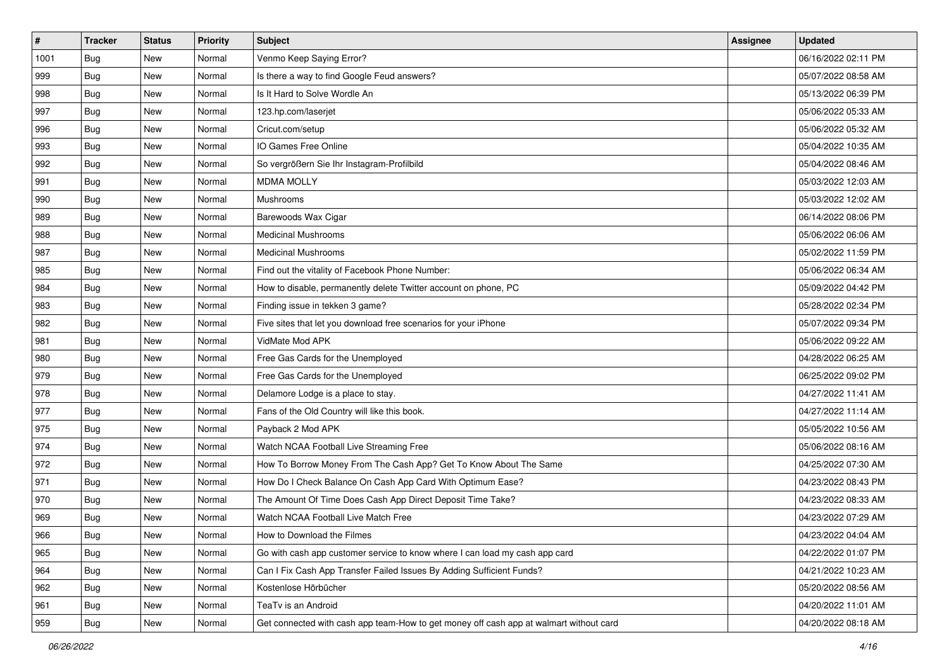| $\sharp$ | <b>Tracker</b> | <b>Status</b> | Priority | <b>Subject</b>                                                                         | <b>Assignee</b> | <b>Updated</b>      |
|----------|----------------|---------------|----------|----------------------------------------------------------------------------------------|-----------------|---------------------|
| 1001     | <b>Bug</b>     | New           | Normal   | Venmo Keep Saying Error?                                                               |                 | 06/16/2022 02:11 PM |
| 999      | Bug            | New           | Normal   | Is there a way to find Google Feud answers?                                            |                 | 05/07/2022 08:58 AM |
| 998      | Bug            | New           | Normal   | Is It Hard to Solve Wordle An                                                          |                 | 05/13/2022 06:39 PM |
| 997      | <b>Bug</b>     | <b>New</b>    | Normal   | 123.hp.com/laserjet                                                                    |                 | 05/06/2022 05:33 AM |
| 996      | Bug            | New           | Normal   | Cricut.com/setup                                                                       |                 | 05/06/2022 05:32 AM |
| 993      | <b>Bug</b>     | <b>New</b>    | Normal   | IO Games Free Online                                                                   |                 | 05/04/2022 10:35 AM |
| 992      | Bug            | New           | Normal   | So vergrößern Sie Ihr Instagram-Profilbild                                             |                 | 05/04/2022 08:46 AM |
| 991      | <b>Bug</b>     | New           | Normal   | <b>MDMA MOLLY</b>                                                                      |                 | 05/03/2022 12:03 AM |
| 990      | Bug            | New           | Normal   | Mushrooms                                                                              |                 | 05/03/2022 12:02 AM |
| 989      | Bug            | New           | Normal   | Barewoods Wax Cigar                                                                    |                 | 06/14/2022 08:06 PM |
| 988      | <b>Bug</b>     | New           | Normal   | <b>Medicinal Mushrooms</b>                                                             |                 | 05/06/2022 06:06 AM |
| 987      | Bug            | New           | Normal   | <b>Medicinal Mushrooms</b>                                                             |                 | 05/02/2022 11:59 PM |
| 985      | Bug            | New           | Normal   | Find out the vitality of Facebook Phone Number:                                        |                 | 05/06/2022 06:34 AM |
| 984      | <b>Bug</b>     | New           | Normal   | How to disable, permanently delete Twitter account on phone, PC                        |                 | 05/09/2022 04:42 PM |
| 983      | <b>Bug</b>     | <b>New</b>    | Normal   | Finding issue in tekken 3 game?                                                        |                 | 05/28/2022 02:34 PM |
| 982      | Bug            | New           | Normal   | Five sites that let you download free scenarios for your iPhone                        |                 | 05/07/2022 09:34 PM |
| 981      | <b>Bug</b>     | <b>New</b>    | Normal   | VidMate Mod APK                                                                        |                 | 05/06/2022 09:22 AM |
| 980      | Bug            | New           | Normal   | Free Gas Cards for the Unemployed                                                      |                 | 04/28/2022 06:25 AM |
| 979      | <b>Bug</b>     | New           | Normal   | Free Gas Cards for the Unemployed                                                      |                 | 06/25/2022 09:02 PM |
| 978      | Bug            | New           | Normal   | Delamore Lodge is a place to stay.                                                     |                 | 04/27/2022 11:41 AM |
| 977      | <b>Bug</b>     | New           | Normal   | Fans of the Old Country will like this book.                                           |                 | 04/27/2022 11:14 AM |
| 975      | Bug            | New           | Normal   | Payback 2 Mod APK                                                                      |                 | 05/05/2022 10:56 AM |
| 974      | Bug            | New           | Normal   | Watch NCAA Football Live Streaming Free                                                |                 | 05/06/2022 08:16 AM |
| 972      | <b>Bug</b>     | New           | Normal   | How To Borrow Money From The Cash App? Get To Know About The Same                      |                 | 04/25/2022 07:30 AM |
| 971      | Bug            | New           | Normal   | How Do I Check Balance On Cash App Card With Optimum Ease?                             |                 | 04/23/2022 08:43 PM |
| 970      | Bug            | New           | Normal   | The Amount Of Time Does Cash App Direct Deposit Time Take?                             |                 | 04/23/2022 08:33 AM |
| 969      | <b>Bug</b>     | New           | Normal   | Watch NCAA Football Live Match Free                                                    |                 | 04/23/2022 07:29 AM |
| 966      | <b>Bug</b>     | New           | Normal   | How to Download the Filmes                                                             |                 | 04/23/2022 04:04 AM |
| 965      | <b>Bug</b>     | New           | Normal   | Go with cash app customer service to know where I can load my cash app card            |                 | 04/22/2022 01:07 PM |
| 964      | Bug            | New           | Normal   | Can I Fix Cash App Transfer Failed Issues By Adding Sufficient Funds?                  |                 | 04/21/2022 10:23 AM |
| 962      | <b>Bug</b>     | New           | Normal   | Kostenlose Hörbücher                                                                   |                 | 05/20/2022 08:56 AM |
| 961      | Bug            | New           | Normal   | TeaTv is an Android                                                                    |                 | 04/20/2022 11:01 AM |
| 959      | <b>Bug</b>     | New           | Normal   | Get connected with cash app team-How to get money off cash app at walmart without card |                 | 04/20/2022 08:18 AM |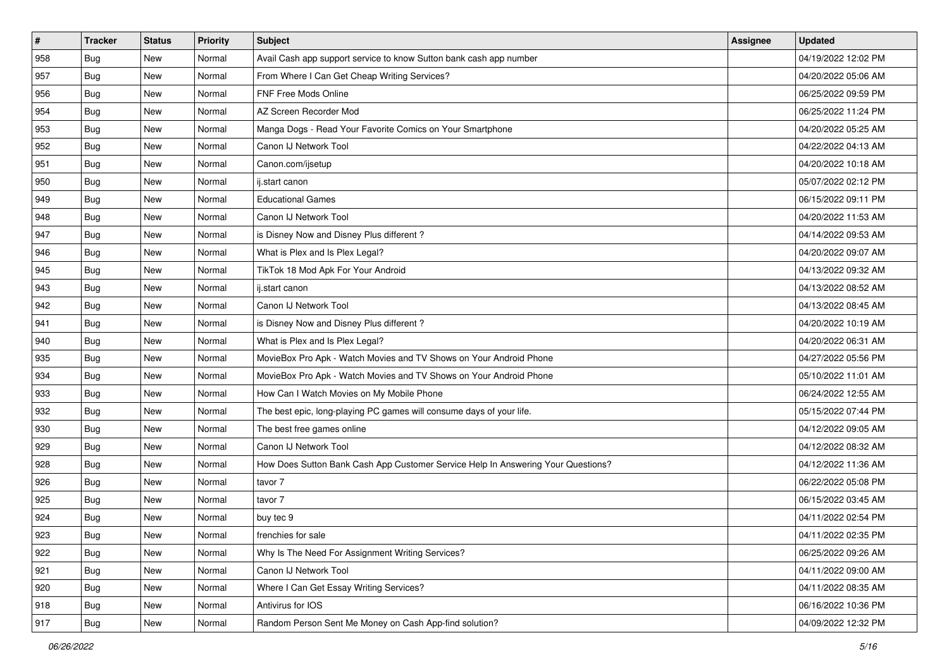| $\vert$ # | <b>Tracker</b> | <b>Status</b> | Priority | <b>Subject</b>                                                                   | Assignee | <b>Updated</b>      |
|-----------|----------------|---------------|----------|----------------------------------------------------------------------------------|----------|---------------------|
| 958       | <b>Bug</b>     | New           | Normal   | Avail Cash app support service to know Sutton bank cash app number               |          | 04/19/2022 12:02 PM |
| 957       | <b>Bug</b>     | New           | Normal   | From Where I Can Get Cheap Writing Services?                                     |          | 04/20/2022 05:06 AM |
| 956       | <b>Bug</b>     | New           | Normal   | FNF Free Mods Online                                                             |          | 06/25/2022 09:59 PM |
| 954       | <b>Bug</b>     | New           | Normal   | AZ Screen Recorder Mod                                                           |          | 06/25/2022 11:24 PM |
| 953       | <b>Bug</b>     | <b>New</b>    | Normal   | Manga Dogs - Read Your Favorite Comics on Your Smartphone                        |          | 04/20/2022 05:25 AM |
| 952       | Bug            | New           | Normal   | Canon IJ Network Tool                                                            |          | 04/22/2022 04:13 AM |
| 951       | <b>Bug</b>     | New           | Normal   | Canon.com/ijsetup                                                                |          | 04/20/2022 10:18 AM |
| 950       | <b>Bug</b>     | New           | Normal   | ij.start canon                                                                   |          | 05/07/2022 02:12 PM |
| 949       | <b>Bug</b>     | New           | Normal   | <b>Educational Games</b>                                                         |          | 06/15/2022 09:11 PM |
| 948       | Bug            | <b>New</b>    | Normal   | Canon IJ Network Tool                                                            |          | 04/20/2022 11:53 AM |
| 947       | <b>Bug</b>     | New           | Normal   | is Disney Now and Disney Plus different?                                         |          | 04/14/2022 09:53 AM |
| 946       | Bug            | New           | Normal   | What is Plex and Is Plex Legal?                                                  |          | 04/20/2022 09:07 AM |
| 945       | Bug            | New           | Normal   | TikTok 18 Mod Apk For Your Android                                               |          | 04/13/2022 09:32 AM |
| 943       | <b>Bug</b>     | New           | Normal   | ij.start canon                                                                   |          | 04/13/2022 08:52 AM |
| 942       | <b>Bug</b>     | New           | Normal   | Canon IJ Network Tool                                                            |          | 04/13/2022 08:45 AM |
| 941       | Bug            | New           | Normal   | is Disney Now and Disney Plus different?                                         |          | 04/20/2022 10:19 AM |
| 940       | <b>Bug</b>     | New           | Normal   | What is Plex and Is Plex Legal?                                                  |          | 04/20/2022 06:31 AM |
| 935       | <b>Bug</b>     | <b>New</b>    | Normal   | MovieBox Pro Apk - Watch Movies and TV Shows on Your Android Phone               |          | 04/27/2022 05:56 PM |
| 934       | <b>Bug</b>     | New           | Normal   | MovieBox Pro Apk - Watch Movies and TV Shows on Your Android Phone               |          | 05/10/2022 11:01 AM |
| 933       | <b>Bug</b>     | New           | Normal   | How Can I Watch Movies on My Mobile Phone                                        |          | 06/24/2022 12:55 AM |
| 932       | <b>Bug</b>     | New           | Normal   | The best epic, long-playing PC games will consume days of your life.             |          | 05/15/2022 07:44 PM |
| 930       | <b>Bug</b>     | New           | Normal   | The best free games online                                                       |          | 04/12/2022 09:05 AM |
| 929       | Bug            | <b>New</b>    | Normal   | Canon IJ Network Tool                                                            |          | 04/12/2022 08:32 AM |
| 928       | <b>Bug</b>     | New           | Normal   | How Does Sutton Bank Cash App Customer Service Help In Answering Your Questions? |          | 04/12/2022 11:36 AM |
| 926       | <b>Bug</b>     | New           | Normal   | tavor 7                                                                          |          | 06/22/2022 05:08 PM |
| 925       | Bug            | New           | Normal   | tavor 7                                                                          |          | 06/15/2022 03:45 AM |
| 924       | <b>Bug</b>     | New           | Normal   | buy tec 9                                                                        |          | 04/11/2022 02:54 PM |
| 923       | <b>Bug</b>     | New           | Normal   | frenchies for sale                                                               |          | 04/11/2022 02:35 PM |
| 922       | Bug            | New           | Normal   | Why Is The Need For Assignment Writing Services?                                 |          | 06/25/2022 09:26 AM |
| 921       | <b>Bug</b>     | New           | Normal   | Canon IJ Network Tool                                                            |          | 04/11/2022 09:00 AM |
| 920       | Bug            | New           | Normal   | Where I Can Get Essay Writing Services?                                          |          | 04/11/2022 08:35 AM |
| 918       | <b>Bug</b>     | New           | Normal   | Antivirus for IOS                                                                |          | 06/16/2022 10:36 PM |
| 917       | <b>Bug</b>     | New           | Normal   | Random Person Sent Me Money on Cash App-find solution?                           |          | 04/09/2022 12:32 PM |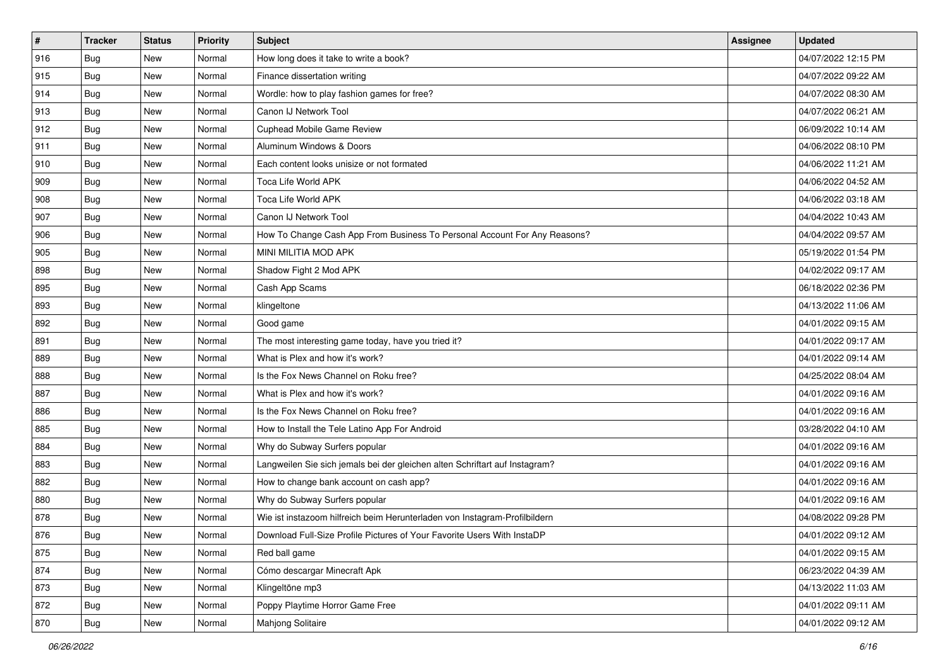| $\sharp$ | <b>Tracker</b> | <b>Status</b> | <b>Priority</b> | <b>Subject</b>                                                              | <b>Assignee</b> | <b>Updated</b>      |
|----------|----------------|---------------|-----------------|-----------------------------------------------------------------------------|-----------------|---------------------|
| 916      | <b>Bug</b>     | New           | Normal          | How long does it take to write a book?                                      |                 | 04/07/2022 12:15 PM |
| 915      | <b>Bug</b>     | New           | Normal          | Finance dissertation writing                                                |                 | 04/07/2022 09:22 AM |
| 914      | Bug            | New           | Normal          | Wordle: how to play fashion games for free?                                 |                 | 04/07/2022 08:30 AM |
| 913      | <b>Bug</b>     | <b>New</b>    | Normal          | Canon IJ Network Tool                                                       |                 | 04/07/2022 06:21 AM |
| 912      | Bug            | New           | Normal          | Cuphead Mobile Game Review                                                  |                 | 06/09/2022 10:14 AM |
| 911      | <b>Bug</b>     | New           | Normal          | Aluminum Windows & Doors                                                    |                 | 04/06/2022 08:10 PM |
| 910      | Bug            | New           | Normal          | Each content looks unisize or not formated                                  |                 | 04/06/2022 11:21 AM |
| 909      | <b>Bug</b>     | New           | Normal          | Toca Life World APK                                                         |                 | 04/06/2022 04:52 AM |
| 908      | Bug            | New           | Normal          | Toca Life World APK                                                         |                 | 04/06/2022 03:18 AM |
| 907      | Bug            | New           | Normal          | Canon IJ Network Tool                                                       |                 | 04/04/2022 10:43 AM |
| 906      | <b>Bug</b>     | New           | Normal          | How To Change Cash App From Business To Personal Account For Any Reasons?   |                 | 04/04/2022 09:57 AM |
| 905      | <b>Bug</b>     | New           | Normal          | MINI MILITIA MOD APK                                                        |                 | 05/19/2022 01:54 PM |
| 898      | Bug            | New           | Normal          | Shadow Fight 2 Mod APK                                                      |                 | 04/02/2022 09:17 AM |
| 895      | <b>Bug</b>     | New           | Normal          | Cash App Scams                                                              |                 | 06/18/2022 02:36 PM |
| 893      | <b>Bug</b>     | <b>New</b>    | Normal          | klingeltone                                                                 |                 | 04/13/2022 11:06 AM |
| 892      | Bug            | New           | Normal          | Good game                                                                   |                 | 04/01/2022 09:15 AM |
| 891      | <b>Bug</b>     | <b>New</b>    | Normal          | The most interesting game today, have you tried it?                         |                 | 04/01/2022 09:17 AM |
| 889      | Bug            | New           | Normal          | What is Plex and how it's work?                                             |                 | 04/01/2022 09:14 AM |
| 888      | Bug            | New           | Normal          | Is the Fox News Channel on Roku free?                                       |                 | 04/25/2022 08:04 AM |
| 887      | Bug            | New           | Normal          | What is Plex and how it's work?                                             |                 | 04/01/2022 09:16 AM |
| 886      | <b>Bug</b>     | New           | Normal          | Is the Fox News Channel on Roku free?                                       |                 | 04/01/2022 09:16 AM |
| 885      | Bug            | New           | Normal          | How to Install the Tele Latino App For Android                              |                 | 03/28/2022 04:10 AM |
| 884      | Bug            | New           | Normal          | Why do Subway Surfers popular                                               |                 | 04/01/2022 09:16 AM |
| 883      | <b>Bug</b>     | New           | Normal          | Langweilen Sie sich jemals bei der gleichen alten Schriftart auf Instagram? |                 | 04/01/2022 09:16 AM |
| 882      | Bug            | New           | Normal          | How to change bank account on cash app?                                     |                 | 04/01/2022 09:16 AM |
| 880      | Bug            | New           | Normal          | Why do Subway Surfers popular                                               |                 | 04/01/2022 09:16 AM |
| 878      | <b>Bug</b>     | New           | Normal          | Wie ist instazoom hilfreich beim Herunterladen von Instagram-Profilbildern  |                 | 04/08/2022 09:28 PM |
| 876      | <b>Bug</b>     | New           | Normal          | Download Full-Size Profile Pictures of Your Favorite Users With InstaDP     |                 | 04/01/2022 09:12 AM |
| 875      | <b>Bug</b>     | New           | Normal          | Red ball game                                                               |                 | 04/01/2022 09:15 AM |
| 874      | <b>Bug</b>     | New           | Normal          | Cómo descargar Minecraft Apk                                                |                 | 06/23/2022 04:39 AM |
| 873      | Bug            | New           | Normal          | Klingeltöne mp3                                                             |                 | 04/13/2022 11:03 AM |
| 872      | <b>Bug</b>     | New           | Normal          | Poppy Playtime Horror Game Free                                             |                 | 04/01/2022 09:11 AM |
| 870      | <b>Bug</b>     | New           | Normal          | <b>Mahjong Solitaire</b>                                                    |                 | 04/01/2022 09:12 AM |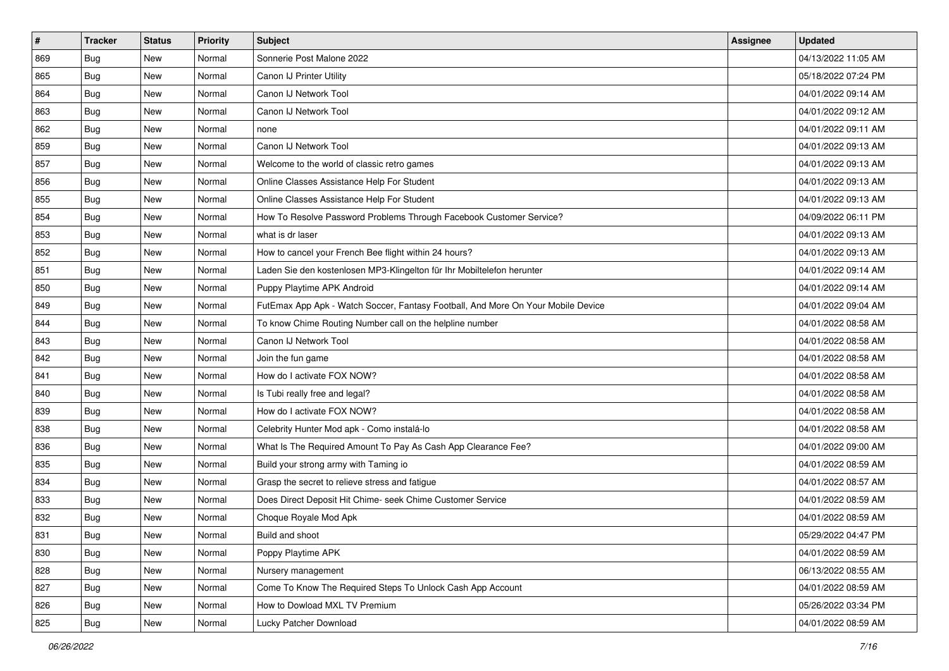| $\sharp$ | <b>Tracker</b> | <b>Status</b> | Priority | <b>Subject</b>                                                                   | <b>Assignee</b> | <b>Updated</b>      |
|----------|----------------|---------------|----------|----------------------------------------------------------------------------------|-----------------|---------------------|
| 869      | <b>Bug</b>     | New           | Normal   | Sonnerie Post Malone 2022                                                        |                 | 04/13/2022 11:05 AM |
| 865      | Bug            | New           | Normal   | Canon IJ Printer Utility                                                         |                 | 05/18/2022 07:24 PM |
| 864      | Bug            | New           | Normal   | Canon IJ Network Tool                                                            |                 | 04/01/2022 09:14 AM |
| 863      | <b>Bug</b>     | <b>New</b>    | Normal   | Canon IJ Network Tool                                                            |                 | 04/01/2022 09:12 AM |
| 862      | Bug            | New           | Normal   | none                                                                             |                 | 04/01/2022 09:11 AM |
| 859      | <b>Bug</b>     | <b>New</b>    | Normal   | Canon IJ Network Tool                                                            |                 | 04/01/2022 09:13 AM |
| 857      | <b>Bug</b>     | New           | Normal   | Welcome to the world of classic retro games                                      |                 | 04/01/2022 09:13 AM |
| 856      | <b>Bug</b>     | New           | Normal   | Online Classes Assistance Help For Student                                       |                 | 04/01/2022 09:13 AM |
| 855      | Bug            | New           | Normal   | Online Classes Assistance Help For Student                                       |                 | 04/01/2022 09:13 AM |
| 854      | Bug            | New           | Normal   | How To Resolve Password Problems Through Facebook Customer Service?              |                 | 04/09/2022 06:11 PM |
| 853      | <b>Bug</b>     | New           | Normal   | what is dr laser                                                                 |                 | 04/01/2022 09:13 AM |
| 852      | Bug            | New           | Normal   | How to cancel your French Bee flight within 24 hours?                            |                 | 04/01/2022 09:13 AM |
| 851      | Bug            | New           | Normal   | Laden Sie den kostenlosen MP3-Klingelton für Ihr Mobiltelefon herunter           |                 | 04/01/2022 09:14 AM |
| 850      | <b>Bug</b>     | New           | Normal   | Puppy Playtime APK Android                                                       |                 | 04/01/2022 09:14 AM |
| 849      | <b>Bug</b>     | <b>New</b>    | Normal   | FutEmax App Apk - Watch Soccer, Fantasy Football, And More On Your Mobile Device |                 | 04/01/2022 09:04 AM |
| 844      | Bug            | New           | Normal   | To know Chime Routing Number call on the helpline number                         |                 | 04/01/2022 08:58 AM |
| 843      | <b>Bug</b>     | <b>New</b>    | Normal   | Canon IJ Network Tool                                                            |                 | 04/01/2022 08:58 AM |
| 842      | Bug            | New           | Normal   | Join the fun game                                                                |                 | 04/01/2022 08:58 AM |
| 841      | <b>Bug</b>     | New           | Normal   | How do I activate FOX NOW?                                                       |                 | 04/01/2022 08:58 AM |
| 840      | Bug            | New           | Normal   | Is Tubi really free and legal?                                                   |                 | 04/01/2022 08:58 AM |
| 839      | <b>Bug</b>     | New           | Normal   | How do I activate FOX NOW?                                                       |                 | 04/01/2022 08:58 AM |
| 838      | Bug            | New           | Normal   | Celebrity Hunter Mod apk - Como instalá-lo                                       |                 | 04/01/2022 08:58 AM |
| 836      | Bug            | New           | Normal   | What Is The Required Amount To Pay As Cash App Clearance Fee?                    |                 | 04/01/2022 09:00 AM |
| 835      | <b>Bug</b>     | New           | Normal   | Build your strong army with Taming io                                            |                 | 04/01/2022 08:59 AM |
| 834      | Bug            | New           | Normal   | Grasp the secret to relieve stress and fatigue                                   |                 | 04/01/2022 08:57 AM |
| 833      | Bug            | New           | Normal   | Does Direct Deposit Hit Chime- seek Chime Customer Service                       |                 | 04/01/2022 08:59 AM |
| 832      | <b>Bug</b>     | New           | Normal   | Choque Royale Mod Apk                                                            |                 | 04/01/2022 08:59 AM |
| 831      | I Bug          | New           | Normal   | Build and shoot                                                                  |                 | 05/29/2022 04:47 PM |
| 830      | <b>Bug</b>     | New           | Normal   | Poppy Playtime APK                                                               |                 | 04/01/2022 08:59 AM |
| 828      | <b>Bug</b>     | New           | Normal   | Nursery management                                                               |                 | 06/13/2022 08:55 AM |
| 827      | Bug            | New           | Normal   | Come To Know The Required Steps To Unlock Cash App Account                       |                 | 04/01/2022 08:59 AM |
| 826      | <b>Bug</b>     | New           | Normal   | How to Dowload MXL TV Premium                                                    |                 | 05/26/2022 03:34 PM |
| 825      | <b>Bug</b>     | New           | Normal   | Lucky Patcher Download                                                           |                 | 04/01/2022 08:59 AM |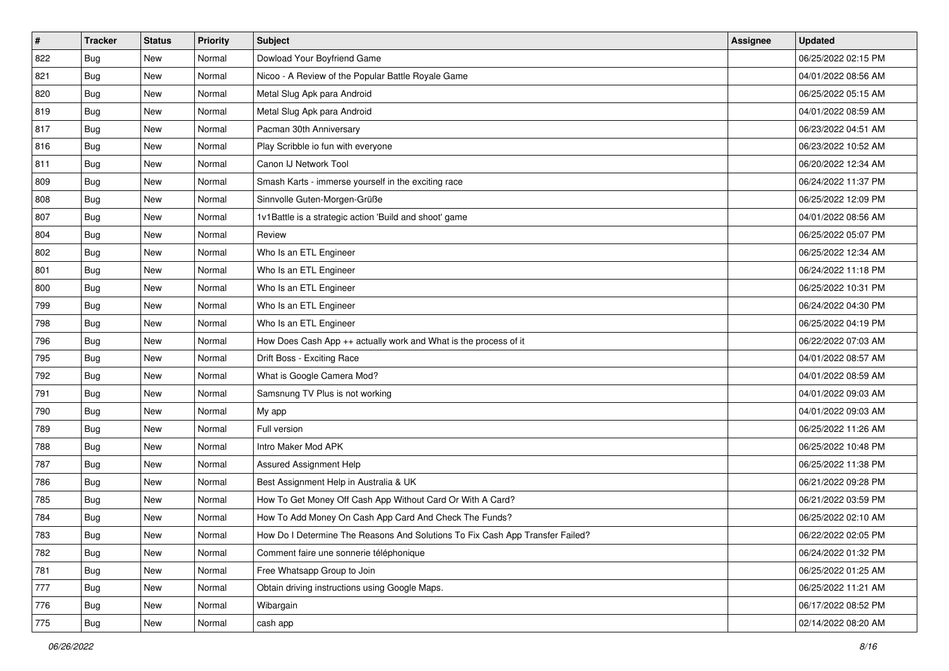| $\vert$ # | <b>Tracker</b> | <b>Status</b> | <b>Priority</b> | Subject                                                                       | Assignee | <b>Updated</b>      |
|-----------|----------------|---------------|-----------------|-------------------------------------------------------------------------------|----------|---------------------|
| 822       | <b>Bug</b>     | New           | Normal          | Dowload Your Boyfriend Game                                                   |          | 06/25/2022 02:15 PM |
| 821       | Bug            | New           | Normal          | Nicoo - A Review of the Popular Battle Royale Game                            |          | 04/01/2022 08:56 AM |
| 820       | Bug            | New           | Normal          | Metal Slug Apk para Android                                                   |          | 06/25/2022 05:15 AM |
| 819       | Bug            | New           | Normal          | Metal Slug Apk para Android                                                   |          | 04/01/2022 08:59 AM |
| 817       | Bug            | New           | Normal          | Pacman 30th Anniversary                                                       |          | 06/23/2022 04:51 AM |
| 816       | <b>Bug</b>     | New           | Normal          | Play Scribble io fun with everyone                                            |          | 06/23/2022 10:52 AM |
| 811       | Bug            | New           | Normal          | Canon IJ Network Tool                                                         |          | 06/20/2022 12:34 AM |
| 809       | <b>Bug</b>     | New           | Normal          | Smash Karts - immerse yourself in the exciting race                           |          | 06/24/2022 11:37 PM |
| 808       | Bug            | New           | Normal          | Sinnvolle Guten-Morgen-Grüße                                                  |          | 06/25/2022 12:09 PM |
| 807       | Bug            | New           | Normal          | 1v1Battle is a strategic action 'Build and shoot' game                        |          | 04/01/2022 08:56 AM |
| 804       | <b>Bug</b>     | New           | Normal          | Review                                                                        |          | 06/25/2022 05:07 PM |
| 802       | <b>Bug</b>     | New           | Normal          | Who Is an ETL Engineer                                                        |          | 06/25/2022 12:34 AM |
| 801       | Bug            | <b>New</b>    | Normal          | Who Is an ETL Engineer                                                        |          | 06/24/2022 11:18 PM |
| 800       | Bug            | New           | Normal          | Who Is an ETL Engineer                                                        |          | 06/25/2022 10:31 PM |
| 799       | Bug            | New           | Normal          | Who Is an ETL Engineer                                                        |          | 06/24/2022 04:30 PM |
| 798       | <b>Bug</b>     | New           | Normal          | Who Is an ETL Engineer                                                        |          | 06/25/2022 04:19 PM |
| 796       | Bug            | New           | Normal          | How Does Cash App ++ actually work and What is the process of it              |          | 06/22/2022 07:03 AM |
| 795       | Bug            | New           | Normal          | Drift Boss - Exciting Race                                                    |          | 04/01/2022 08:57 AM |
| 792       | <b>Bug</b>     | New           | Normal          | What is Google Camera Mod?                                                    |          | 04/01/2022 08:59 AM |
| 791       | Bug            | New           | Normal          | Samsnung TV Plus is not working                                               |          | 04/01/2022 09:03 AM |
| 790       | <b>Bug</b>     | New           | Normal          | My app                                                                        |          | 04/01/2022 09:03 AM |
| 789       | Bug            | New           | Normal          | Full version                                                                  |          | 06/25/2022 11:26 AM |
| 788       | Bug            | New           | Normal          | Intro Maker Mod APK                                                           |          | 06/25/2022 10:48 PM |
| 787       | <b>Bug</b>     | New           | Normal          | Assured Assignment Help                                                       |          | 06/25/2022 11:38 PM |
| 786       | <b>Bug</b>     | New           | Normal          | Best Assignment Help in Australia & UK                                        |          | 06/21/2022 09:28 PM |
| 785       | <b>Bug</b>     | <b>New</b>    | Normal          | How To Get Money Off Cash App Without Card Or With A Card?                    |          | 06/21/2022 03:59 PM |
| 784       | Bug            | New           | Normal          | How To Add Money On Cash App Card And Check The Funds?                        |          | 06/25/2022 02:10 AM |
| 783       | <b>Bug</b>     | New           | Normal          | How Do I Determine The Reasons And Solutions To Fix Cash App Transfer Failed? |          | 06/22/2022 02:05 PM |
| 782       | Bug            | New           | Normal          | Comment faire une sonnerie téléphonique                                       |          | 06/24/2022 01:32 PM |
| 781       | <b>Bug</b>     | New           | Normal          | Free Whatsapp Group to Join                                                   |          | 06/25/2022 01:25 AM |
| 777       | <b>Bug</b>     | New           | Normal          | Obtain driving instructions using Google Maps.                                |          | 06/25/2022 11:21 AM |
| 776       | <b>Bug</b>     | New           | Normal          | Wibargain                                                                     |          | 06/17/2022 08:52 PM |
| 775       | <b>Bug</b>     | New           | Normal          | cash app                                                                      |          | 02/14/2022 08:20 AM |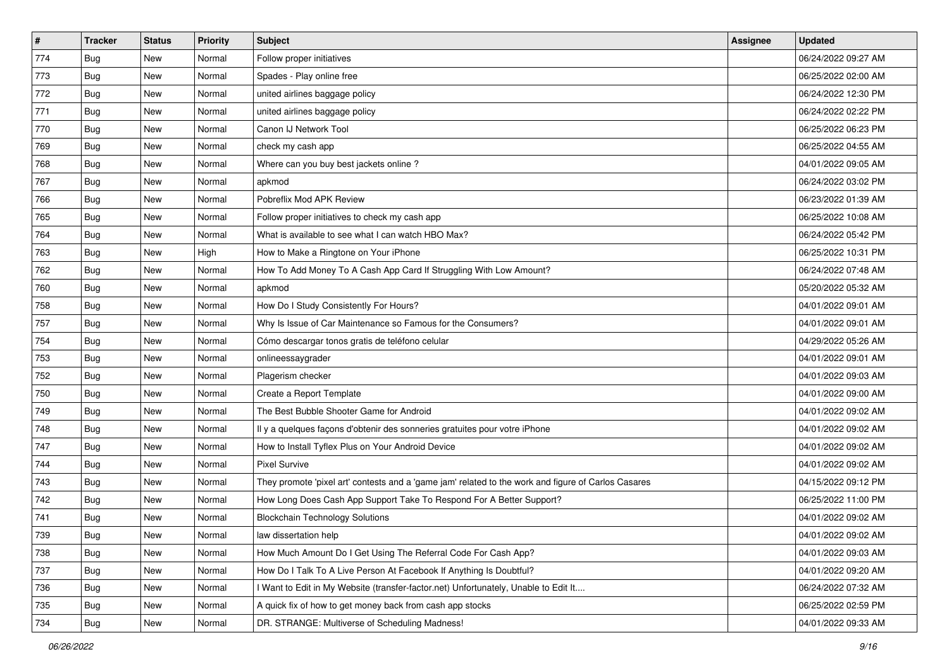| $\vert$ # | <b>Tracker</b> | <b>Status</b> | Priority | <b>Subject</b>                                                                                      | <b>Assignee</b> | <b>Updated</b>      |
|-----------|----------------|---------------|----------|-----------------------------------------------------------------------------------------------------|-----------------|---------------------|
| 774       | <b>Bug</b>     | New           | Normal   | Follow proper initiatives                                                                           |                 | 06/24/2022 09:27 AM |
| 773       | <b>Bug</b>     | New           | Normal   | Spades - Play online free                                                                           |                 | 06/25/2022 02:00 AM |
| 772       | Bug            | New           | Normal   | united airlines baggage policy                                                                      |                 | 06/24/2022 12:30 PM |
| 771       | <b>Bug</b>     | New           | Normal   | united airlines baggage policy                                                                      |                 | 06/24/2022 02:22 PM |
| 770       | <b>Bug</b>     | New           | Normal   | Canon IJ Network Tool                                                                               |                 | 06/25/2022 06:23 PM |
| 769       | <b>Bug</b>     | New           | Normal   | check my cash app                                                                                   |                 | 06/25/2022 04:55 AM |
| 768       | Bug            | New           | Normal   | Where can you buy best jackets online?                                                              |                 | 04/01/2022 09:05 AM |
| 767       | <b>Bug</b>     | New           | Normal   | apkmod                                                                                              |                 | 06/24/2022 03:02 PM |
| 766       | <b>Bug</b>     | New           | Normal   | Pobreflix Mod APK Review                                                                            |                 | 06/23/2022 01:39 AM |
| 765       | Bug            | New           | Normal   | Follow proper initiatives to check my cash app                                                      |                 | 06/25/2022 10:08 AM |
| 764       | <b>Bug</b>     | New           | Normal   | What is available to see what I can watch HBO Max?                                                  |                 | 06/24/2022 05:42 PM |
| 763       | Bug            | New           | High     | How to Make a Ringtone on Your iPhone                                                               |                 | 06/25/2022 10:31 PM |
| 762       | Bug            | New           | Normal   | How To Add Money To A Cash App Card If Struggling With Low Amount?                                  |                 | 06/24/2022 07:48 AM |
| 760       | <b>Bug</b>     | New           | Normal   | apkmod                                                                                              |                 | 05/20/2022 05:32 AM |
| 758       | <b>Bug</b>     | New           | Normal   | How Do I Study Consistently For Hours?                                                              |                 | 04/01/2022 09:01 AM |
| 757       | Bug            | New           | Normal   | Why Is Issue of Car Maintenance so Famous for the Consumers?                                        |                 | 04/01/2022 09:01 AM |
| 754       | <b>Bug</b>     | New           | Normal   | Cómo descargar tonos gratis de teléfono celular                                                     |                 | 04/29/2022 05:26 AM |
| 753       | <b>Bug</b>     | New           | Normal   | onlineessaygrader                                                                                   |                 | 04/01/2022 09:01 AM |
| 752       | <b>Bug</b>     | New           | Normal   | Plagerism checker                                                                                   |                 | 04/01/2022 09:03 AM |
| 750       | <b>Bug</b>     | New           | Normal   | Create a Report Template                                                                            |                 | 04/01/2022 09:00 AM |
| 749       | <b>Bug</b>     | New           | Normal   | The Best Bubble Shooter Game for Android                                                            |                 | 04/01/2022 09:02 AM |
| 748       | <b>Bug</b>     | New           | Normal   | Il y a quelques façons d'obtenir des sonneries gratuites pour votre iPhone                          |                 | 04/01/2022 09:02 AM |
| 747       | Bug            | New           | Normal   | How to Install Tyflex Plus on Your Android Device                                                   |                 | 04/01/2022 09:02 AM |
| 744       | <b>Bug</b>     | New           | Normal   | <b>Pixel Survive</b>                                                                                |                 | 04/01/2022 09:02 AM |
| 743       | Bug            | New           | Normal   | They promote 'pixel art' contests and a 'game jam' related to the work and figure of Carlos Casares |                 | 04/15/2022 09:12 PM |
| 742       | Bug            | New           | Normal   | How Long Does Cash App Support Take To Respond For A Better Support?                                |                 | 06/25/2022 11:00 PM |
| 741       | <b>Bug</b>     | New           | Normal   | <b>Blockchain Technology Solutions</b>                                                              |                 | 04/01/2022 09:02 AM |
| 739       | <b>Bug</b>     | New           | Normal   | law dissertation help                                                                               |                 | 04/01/2022 09:02 AM |
| 738       | Bug            | New           | Normal   | How Much Amount Do I Get Using The Referral Code For Cash App?                                      |                 | 04/01/2022 09:03 AM |
| 737       | Bug            | New           | Normal   | How Do I Talk To A Live Person At Facebook If Anything Is Doubtful?                                 |                 | 04/01/2022 09:20 AM |
| 736       | <b>Bug</b>     | New           | Normal   | Want to Edit in My Website (transfer-factor.net) Unfortunately, Unable to Edit It                   |                 | 06/24/2022 07:32 AM |
| 735       | Bug            | New           | Normal   | A quick fix of how to get money back from cash app stocks                                           |                 | 06/25/2022 02:59 PM |
| 734       | <b>Bug</b>     | New           | Normal   | DR. STRANGE: Multiverse of Scheduling Madness!                                                      |                 | 04/01/2022 09:33 AM |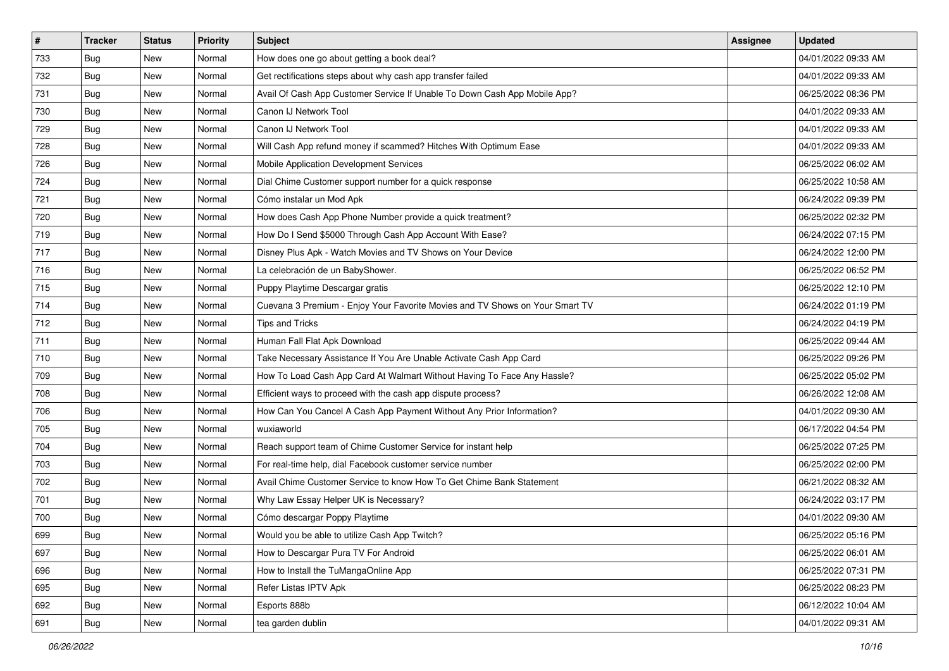| $\vert$ # | <b>Tracker</b> | <b>Status</b> | <b>Priority</b> | Subject                                                                      | <b>Assignee</b> | <b>Updated</b>      |
|-----------|----------------|---------------|-----------------|------------------------------------------------------------------------------|-----------------|---------------------|
| 733       | Bug            | New           | Normal          | How does one go about getting a book deal?                                   |                 | 04/01/2022 09:33 AM |
| 732       | <b>Bug</b>     | New           | Normal          | Get rectifications steps about why cash app transfer failed                  |                 | 04/01/2022 09:33 AM |
| 731       | <b>Bug</b>     | New           | Normal          | Avail Of Cash App Customer Service If Unable To Down Cash App Mobile App?    |                 | 06/25/2022 08:36 PM |
| 730       | <b>Bug</b>     | <b>New</b>    | Normal          | Canon IJ Network Tool                                                        |                 | 04/01/2022 09:33 AM |
| 729       | <b>Bug</b>     | New           | Normal          | Canon IJ Network Tool                                                        |                 | 04/01/2022 09:33 AM |
| 728       | <b>Bug</b>     | New           | Normal          | Will Cash App refund money if scammed? Hitches With Optimum Ease             |                 | 04/01/2022 09:33 AM |
| 726       | Bug            | New           | Normal          | Mobile Application Development Services                                      |                 | 06/25/2022 06:02 AM |
| 724       | <b>Bug</b>     | New           | Normal          | Dial Chime Customer support number for a quick response                      |                 | 06/25/2022 10:58 AM |
| 721       | <b>Bug</b>     | New           | Normal          | Cómo instalar un Mod Apk                                                     |                 | 06/24/2022 09:39 PM |
| 720       | Bug            | New           | Normal          | How does Cash App Phone Number provide a quick treatment?                    |                 | 06/25/2022 02:32 PM |
| 719       | <b>Bug</b>     | New           | Normal          | How Do I Send \$5000 Through Cash App Account With Ease?                     |                 | 06/24/2022 07:15 PM |
| 717       | Bug            | New           | Normal          | Disney Plus Apk - Watch Movies and TV Shows on Your Device                   |                 | 06/24/2022 12:00 PM |
| 716       | Bug            | New           | Normal          | La celebración de un BabyShower.                                             |                 | 06/25/2022 06:52 PM |
| 715       | <b>Bug</b>     | New           | Normal          | Puppy Playtime Descargar gratis                                              |                 | 06/25/2022 12:10 PM |
| 714       | <b>Bug</b>     | <b>New</b>    | Normal          | Cuevana 3 Premium - Enjoy Your Favorite Movies and TV Shows on Your Smart TV |                 | 06/24/2022 01:19 PM |
| 712       | Bug            | New           | Normal          | Tips and Tricks                                                              |                 | 06/24/2022 04:19 PM |
| 711       | <b>Bug</b>     | New           | Normal          | Human Fall Flat Apk Download                                                 |                 | 06/25/2022 09:44 AM |
| 710       | Bug            | New           | Normal          | Take Necessary Assistance If You Are Unable Activate Cash App Card           |                 | 06/25/2022 09:26 PM |
| 709       | Bug            | New           | Normal          | How To Load Cash App Card At Walmart Without Having To Face Any Hassle?      |                 | 06/25/2022 05:02 PM |
| 708       | <b>Bug</b>     | New           | Normal          | Efficient ways to proceed with the cash app dispute process?                 |                 | 06/26/2022 12:08 AM |
| 706       | Bug            | New           | Normal          | How Can You Cancel A Cash App Payment Without Any Prior Information?         |                 | 04/01/2022 09:30 AM |
| 705       | <b>Bug</b>     | New           | Normal          | wuxiaworld                                                                   |                 | 06/17/2022 04:54 PM |
| 704       | Bug            | New           | Normal          | Reach support team of Chime Customer Service for instant help                |                 | 06/25/2022 07:25 PM |
| 703       | <b>Bug</b>     | New           | Normal          | For real-time help, dial Facebook customer service number                    |                 | 06/25/2022 02:00 PM |
| 702       | <b>Bug</b>     | New           | Normal          | Avail Chime Customer Service to know How To Get Chime Bank Statement         |                 | 06/21/2022 08:32 AM |
| 701       | <b>Bug</b>     | New           | Normal          | Why Law Essay Helper UK is Necessary?                                        |                 | 06/24/2022 03:17 PM |
| 700       | <b>Bug</b>     | New           | Normal          | Cómo descargar Poppy Playtime                                                |                 | 04/01/2022 09:30 AM |
| 699       | Bug            | New           | Normal          | Would you be able to utilize Cash App Twitch?                                |                 | 06/25/2022 05:16 PM |
| 697       | Bug            | New           | Normal          | How to Descargar Pura TV For Android                                         |                 | 06/25/2022 06:01 AM |
| 696       | Bug            | New           | Normal          | How to Install the TuMangaOnline App                                         |                 | 06/25/2022 07:31 PM |
| 695       | <b>Bug</b>     | New           | Normal          | Refer Listas IPTV Apk                                                        |                 | 06/25/2022 08:23 PM |
| 692       | <b>Bug</b>     | New           | Normal          | Esports 888b                                                                 |                 | 06/12/2022 10:04 AM |
| 691       | <b>Bug</b>     | New           | Normal          | tea garden dublin                                                            |                 | 04/01/2022 09:31 AM |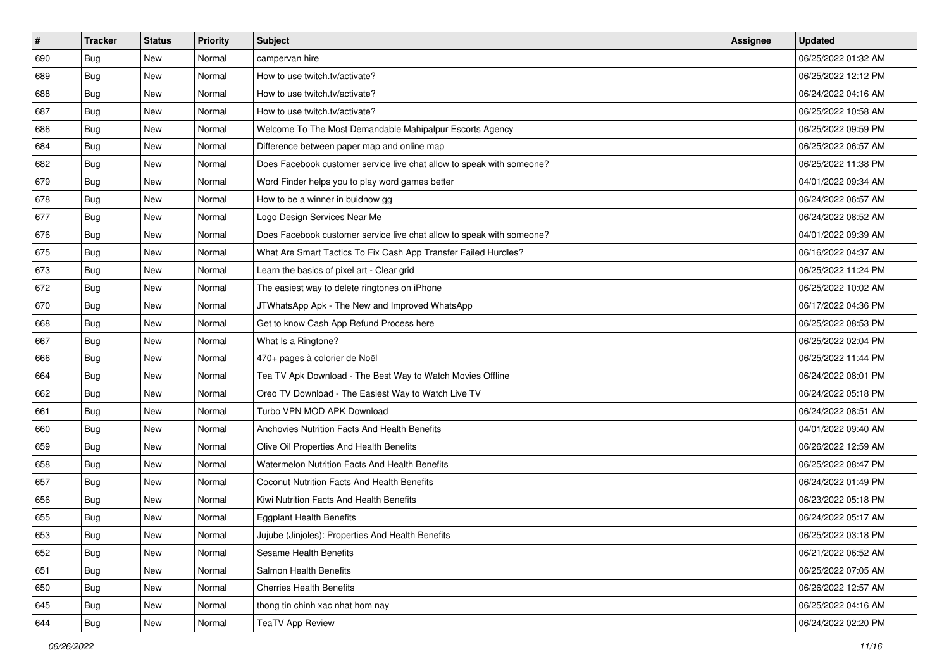| $\sharp$ | <b>Tracker</b> | <b>Status</b> | Priority | <b>Subject</b>                                                        | <b>Assignee</b> | <b>Updated</b>      |
|----------|----------------|---------------|----------|-----------------------------------------------------------------------|-----------------|---------------------|
| 690      | <b>Bug</b>     | New           | Normal   | campervan hire                                                        |                 | 06/25/2022 01:32 AM |
| 689      | Bug            | New           | Normal   | How to use twitch.tv/activate?                                        |                 | 06/25/2022 12:12 PM |
| 688      | Bug            | New           | Normal   | How to use twitch.tv/activate?                                        |                 | 06/24/2022 04:16 AM |
| 687      | <b>Bug</b>     | <b>New</b>    | Normal   | How to use twitch.tv/activate?                                        |                 | 06/25/2022 10:58 AM |
| 686      | Bug            | New           | Normal   | Welcome To The Most Demandable Mahipalpur Escorts Agency              |                 | 06/25/2022 09:59 PM |
| 684      | <b>Bug</b>     | <b>New</b>    | Normal   | Difference between paper map and online map                           |                 | 06/25/2022 06:57 AM |
| 682      | Bug            | New           | Normal   | Does Facebook customer service live chat allow to speak with someone? |                 | 06/25/2022 11:38 PM |
| 679      | <b>Bug</b>     | New           | Normal   | Word Finder helps you to play word games better                       |                 | 04/01/2022 09:34 AM |
| 678      | Bug            | New           | Normal   | How to be a winner in buidnow gg                                      |                 | 06/24/2022 06:57 AM |
| 677      | Bug            | New           | Normal   | Logo Design Services Near Me                                          |                 | 06/24/2022 08:52 AM |
| 676      | <b>Bug</b>     | New           | Normal   | Does Facebook customer service live chat allow to speak with someone? |                 | 04/01/2022 09:39 AM |
| 675      | Bug            | New           | Normal   | What Are Smart Tactics To Fix Cash App Transfer Failed Hurdles?       |                 | 06/16/2022 04:37 AM |
| 673      | Bug            | New           | Normal   | Learn the basics of pixel art - Clear grid                            |                 | 06/25/2022 11:24 PM |
| 672      | <b>Bug</b>     | New           | Normal   | The easiest way to delete ringtones on iPhone                         |                 | 06/25/2022 10:02 AM |
| 670      | Bug            | <b>New</b>    | Normal   | JTWhatsApp Apk - The New and Improved WhatsApp                        |                 | 06/17/2022 04:36 PM |
| 668      | Bug            | New           | Normal   | Get to know Cash App Refund Process here                              |                 | 06/25/2022 08:53 PM |
| 667      | <b>Bug</b>     | <b>New</b>    | Normal   | What Is a Ringtone?                                                   |                 | 06/25/2022 02:04 PM |
| 666      | Bug            | New           | Normal   | 470+ pages à colorier de Noël                                         |                 | 06/25/2022 11:44 PM |
| 664      | Bug            | New           | Normal   | Tea TV Apk Download - The Best Way to Watch Movies Offline            |                 | 06/24/2022 08:01 PM |
| 662      | Bug            | New           | Normal   | Oreo TV Download - The Easiest Way to Watch Live TV                   |                 | 06/24/2022 05:18 PM |
| 661      | <b>Bug</b>     | New           | Normal   | Turbo VPN MOD APK Download                                            |                 | 06/24/2022 08:51 AM |
| 660      | Bug            | New           | Normal   | Anchovies Nutrition Facts And Health Benefits                         |                 | 04/01/2022 09:40 AM |
| 659      | Bug            | New           | Normal   | Olive Oil Properties And Health Benefits                              |                 | 06/26/2022 12:59 AM |
| 658      | <b>Bug</b>     | New           | Normal   | Watermelon Nutrition Facts And Health Benefits                        |                 | 06/25/2022 08:47 PM |
| 657      | Bug            | New           | Normal   | Coconut Nutrition Facts And Health Benefits                           |                 | 06/24/2022 01:49 PM |
| 656      | Bug            | New           | Normal   | Kiwi Nutrition Facts And Health Benefits                              |                 | 06/23/2022 05:18 PM |
| 655      | <b>Bug</b>     | New           | Normal   | <b>Eggplant Health Benefits</b>                                       |                 | 06/24/2022 05:17 AM |
| 653      | Bug            | New           | Normal   | Jujube (Jinjoles): Properties And Health Benefits                     |                 | 06/25/2022 03:18 PM |
| 652      | <b>Bug</b>     | New           | Normal   | Sesame Health Benefits                                                |                 | 06/21/2022 06:52 AM |
| 651      | <b>Bug</b>     | New           | Normal   | Salmon Health Benefits                                                |                 | 06/25/2022 07:05 AM |
| 650      | Bug            | New           | Normal   | <b>Cherries Health Benefits</b>                                       |                 | 06/26/2022 12:57 AM |
| 645      | Bug            | New           | Normal   | thong tin chinh xac nhat hom nay                                      |                 | 06/25/2022 04:16 AM |
| 644      | <b>Bug</b>     | New           | Normal   | <b>TeaTV App Review</b>                                               |                 | 06/24/2022 02:20 PM |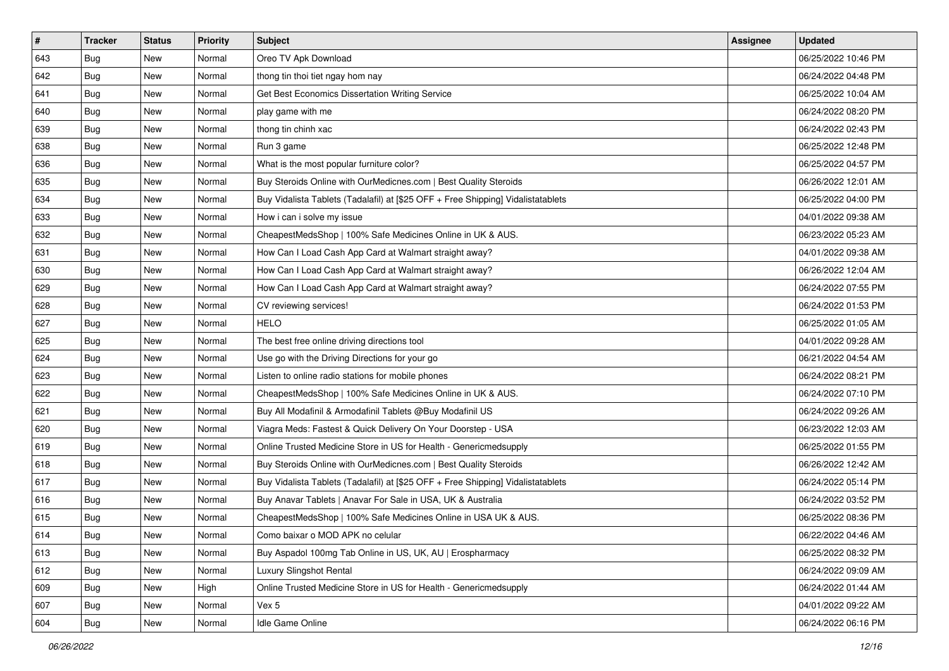| $\vert$ # | <b>Tracker</b> | <b>Status</b> | <b>Priority</b> | <b>Subject</b>                                                                   | <b>Assignee</b> | <b>Updated</b>      |
|-----------|----------------|---------------|-----------------|----------------------------------------------------------------------------------|-----------------|---------------------|
| 643       | Bug            | New           | Normal          | Oreo TV Apk Download                                                             |                 | 06/25/2022 10:46 PM |
| 642       | <b>Bug</b>     | New           | Normal          | thong tin thoi tiet ngay hom nay                                                 |                 | 06/24/2022 04:48 PM |
| 641       | <b>Bug</b>     | New           | Normal          | Get Best Economics Dissertation Writing Service                                  |                 | 06/25/2022 10:04 AM |
| 640       | <b>Bug</b>     | New           | Normal          | play game with me                                                                |                 | 06/24/2022 08:20 PM |
| 639       | Bug            | <b>New</b>    | Normal          | thong tin chinh xac                                                              |                 | 06/24/2022 02:43 PM |
| 638       | <b>Bug</b>     | New           | Normal          | Run 3 game                                                                       |                 | 06/25/2022 12:48 PM |
| 636       | <b>Bug</b>     | New           | Normal          | What is the most popular furniture color?                                        |                 | 06/25/2022 04:57 PM |
| 635       | <b>Bug</b>     | New           | Normal          | Buy Steroids Online with OurMedicnes.com   Best Quality Steroids                 |                 | 06/26/2022 12:01 AM |
| 634       | <b>Bug</b>     | New           | Normal          | Buy Vidalista Tablets (Tadalafil) at [\$25 OFF + Free Shipping] Vidalistatablets |                 | 06/25/2022 04:00 PM |
| 633       | Bug            | New           | Normal          | How i can i solve my issue                                                       |                 | 04/01/2022 09:38 AM |
| 632       | <b>Bug</b>     | New           | Normal          | CheapestMedsShop   100% Safe Medicines Online in UK & AUS.                       |                 | 06/23/2022 05:23 AM |
| 631       | Bug            | New           | Normal          | How Can I Load Cash App Card at Walmart straight away?                           |                 | 04/01/2022 09:38 AM |
| 630       | Bug            | New           | Normal          | How Can I Load Cash App Card at Walmart straight away?                           |                 | 06/26/2022 12:04 AM |
| 629       | <b>Bug</b>     | New           | Normal          | How Can I Load Cash App Card at Walmart straight away?                           |                 | 06/24/2022 07:55 PM |
| 628       | <b>Bug</b>     | New           | Normal          | CV reviewing services!                                                           |                 | 06/24/2022 01:53 PM |
| 627       | Bug            | New           | Normal          | HELO                                                                             |                 | 06/25/2022 01:05 AM |
| 625       | <b>Bug</b>     | New           | Normal          | The best free online driving directions tool                                     |                 | 04/01/2022 09:28 AM |
| 624       | Bug            | New           | Normal          | Use go with the Driving Directions for your go                                   |                 | 06/21/2022 04:54 AM |
| 623       | Bug            | New           | Normal          | Listen to online radio stations for mobile phones                                |                 | 06/24/2022 08:21 PM |
| 622       | Bug            | New           | Normal          | CheapestMedsShop   100% Safe Medicines Online in UK & AUS.                       |                 | 06/24/2022 07:10 PM |
| 621       | <b>Bug</b>     | New           | Normal          | Buy All Modafinil & Armodafinil Tablets @Buy Modafinil US                        |                 | 06/24/2022 09:26 AM |
| 620       | <b>Bug</b>     | New           | Normal          | Viagra Meds: Fastest & Quick Delivery On Your Doorstep - USA                     |                 | 06/23/2022 12:03 AM |
| 619       | Bug            | <b>New</b>    | Normal          | Online Trusted Medicine Store in US for Health - Genericmedsupply                |                 | 06/25/2022 01:55 PM |
| 618       | <b>Bug</b>     | New           | Normal          | Buy Steroids Online with OurMedicnes.com   Best Quality Steroids                 |                 | 06/26/2022 12:42 AM |
| 617       | <b>Bug</b>     | New           | Normal          | Buy Vidalista Tablets (Tadalafil) at [\$25 OFF + Free Shipping] Vidalistatablets |                 | 06/24/2022 05:14 PM |
| 616       | Bug            | New           | Normal          | Buy Anavar Tablets   Anavar For Sale in USA, UK & Australia                      |                 | 06/24/2022 03:52 PM |
| 615       | <b>Bug</b>     | New           | Normal          | CheapestMedsShop   100% Safe Medicines Online in USA UK & AUS.                   |                 | 06/25/2022 08:36 PM |
| 614       | <b>Bug</b>     | New           | Normal          | Como baixar o MOD APK no celular                                                 |                 | 06/22/2022 04:46 AM |
| 613       | <b>Bug</b>     | New           | Normal          | Buy Aspadol 100mg Tab Online in US, UK, AU   Erospharmacy                        |                 | 06/25/2022 08:32 PM |
| 612       | <b>Bug</b>     | New           | Normal          | Luxury Slingshot Rental                                                          |                 | 06/24/2022 09:09 AM |
| 609       | <b>Bug</b>     | New           | High            | Online Trusted Medicine Store in US for Health - Genericmedsupply                |                 | 06/24/2022 01:44 AM |
| 607       | <b>Bug</b>     | New           | Normal          | Vex 5                                                                            |                 | 04/01/2022 09:22 AM |
| 604       | <b>Bug</b>     | New           | Normal          | Idle Game Online                                                                 |                 | 06/24/2022 06:16 PM |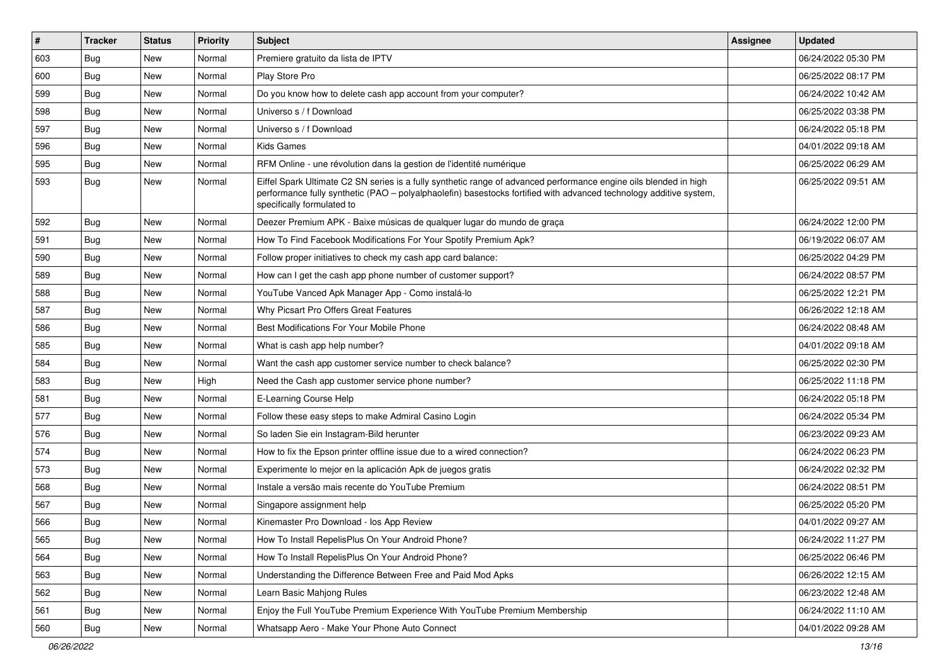| #   | <b>Tracker</b> | <b>Status</b> | <b>Priority</b> | Subject                                                                                                                                                                                                                                                               | Assignee | Updated             |
|-----|----------------|---------------|-----------------|-----------------------------------------------------------------------------------------------------------------------------------------------------------------------------------------------------------------------------------------------------------------------|----------|---------------------|
| 603 | <b>Bug</b>     | <b>New</b>    | Normal          | Premiere gratuito da lista de IPTV                                                                                                                                                                                                                                    |          | 06/24/2022 05:30 PM |
| 600 | Bug            | New           | Normal          | Play Store Pro                                                                                                                                                                                                                                                        |          | 06/25/2022 08:17 PM |
| 599 | Bug            | New           | Normal          | Do you know how to delete cash app account from your computer?                                                                                                                                                                                                        |          | 06/24/2022 10:42 AM |
| 598 | <b>Bug</b>     | New           | Normal          | Universo s / f Download                                                                                                                                                                                                                                               |          | 06/25/2022 03:38 PM |
| 597 | Bug            | <b>New</b>    | Normal          | Universo s / f Download                                                                                                                                                                                                                                               |          | 06/24/2022 05:18 PM |
| 596 | <b>Bug</b>     | New           | Normal          | <b>Kids Games</b>                                                                                                                                                                                                                                                     |          | 04/01/2022 09:18 AM |
| 595 | Bug            | New           | Normal          | RFM Online - une révolution dans la gestion de l'identité numérique                                                                                                                                                                                                   |          | 06/25/2022 06:29 AM |
| 593 | <b>Bug</b>     | New           | Normal          | Eiffel Spark Ultimate C2 SN series is a fully synthetic range of advanced performance engine oils blended in high<br>performance fully synthetic (PAO - polyalphaolefin) basestocks fortified with advanced technology additive system,<br>specifically formulated to |          | 06/25/2022 09:51 AM |
| 592 | Bug            | <b>New</b>    | Normal          | Deezer Premium APK - Baixe músicas de qualquer lugar do mundo de graça                                                                                                                                                                                                |          | 06/24/2022 12:00 PM |
| 591 | Bug            | New           | Normal          | How To Find Facebook Modifications For Your Spotify Premium Apk?                                                                                                                                                                                                      |          | 06/19/2022 06:07 AM |
| 590 | Bug            | <b>New</b>    | Normal          | Follow proper initiatives to check my cash app card balance:                                                                                                                                                                                                          |          | 06/25/2022 04:29 PM |
| 589 | <b>Bug</b>     | New           | Normal          | How can I get the cash app phone number of customer support?                                                                                                                                                                                                          |          | 06/24/2022 08:57 PM |
| 588 | Bug            | New           | Normal          | YouTube Vanced Apk Manager App - Como instalá-lo                                                                                                                                                                                                                      |          | 06/25/2022 12:21 PM |
| 587 | Bug            | New           | Normal          | Why Picsart Pro Offers Great Features                                                                                                                                                                                                                                 |          | 06/26/2022 12:18 AM |
| 586 | <b>Bug</b>     | New           | Normal          | Best Modifications For Your Mobile Phone                                                                                                                                                                                                                              |          | 06/24/2022 08:48 AM |
| 585 | <b>Bug</b>     | New           | Normal          | What is cash app help number?                                                                                                                                                                                                                                         |          | 04/01/2022 09:18 AM |
| 584 | Bug            | New           | Normal          | Want the cash app customer service number to check balance?                                                                                                                                                                                                           |          | 06/25/2022 02:30 PM |
| 583 | <b>Bug</b>     | <b>New</b>    | High            | Need the Cash app customer service phone number?                                                                                                                                                                                                                      |          | 06/25/2022 11:18 PM |
| 581 | Bug            | <b>New</b>    | Normal          | E-Learning Course Help                                                                                                                                                                                                                                                |          | 06/24/2022 05:18 PM |
| 577 | <b>Bug</b>     | New           | Normal          | Follow these easy steps to make Admiral Casino Login                                                                                                                                                                                                                  |          | 06/24/2022 05:34 PM |
| 576 | Bug            | New           | Normal          | So laden Sie ein Instagram-Bild herunter                                                                                                                                                                                                                              |          | 06/23/2022 09:23 AM |
| 574 | <b>Bug</b>     | New           | Normal          | How to fix the Epson printer offline issue due to a wired connection?                                                                                                                                                                                                 |          | 06/24/2022 06:23 PM |
| 573 | Bug            | New           | Normal          | Experimente lo mejor en la aplicación Apk de juegos gratis                                                                                                                                                                                                            |          | 06/24/2022 02:32 PM |
| 568 | <b>Bug</b>     | New           | Normal          | Instale a versão mais recente do YouTube Premium                                                                                                                                                                                                                      |          | 06/24/2022 08:51 PM |
| 567 | <b>Bug</b>     | New           | Normal          | Singapore assignment help                                                                                                                                                                                                                                             |          | 06/25/2022 05:20 PM |
| 566 | <b>Bug</b>     | New           | Normal          | Kinemaster Pro Download - los App Review                                                                                                                                                                                                                              |          | 04/01/2022 09:27 AM |
| 565 | Bug            | New           | Normal          | How To Install RepelisPlus On Your Android Phone?                                                                                                                                                                                                                     |          | 06/24/2022 11:27 PM |
| 564 | <b>Bug</b>     | New           | Normal          | How To Install RepelisPlus On Your Android Phone?                                                                                                                                                                                                                     |          | 06/25/2022 06:46 PM |
| 563 | Bug            | New           | Normal          | Understanding the Difference Between Free and Paid Mod Apks                                                                                                                                                                                                           |          | 06/26/2022 12:15 AM |
| 562 | <b>Bug</b>     | New           | Normal          | Learn Basic Mahjong Rules                                                                                                                                                                                                                                             |          | 06/23/2022 12:48 AM |
| 561 | <b>Bug</b>     | New           | Normal          | Enjoy the Full YouTube Premium Experience With YouTube Premium Membership                                                                                                                                                                                             |          | 06/24/2022 11:10 AM |
| 560 | Bug            | New           | Normal          | Whatsapp Aero - Make Your Phone Auto Connect                                                                                                                                                                                                                          |          | 04/01/2022 09:28 AM |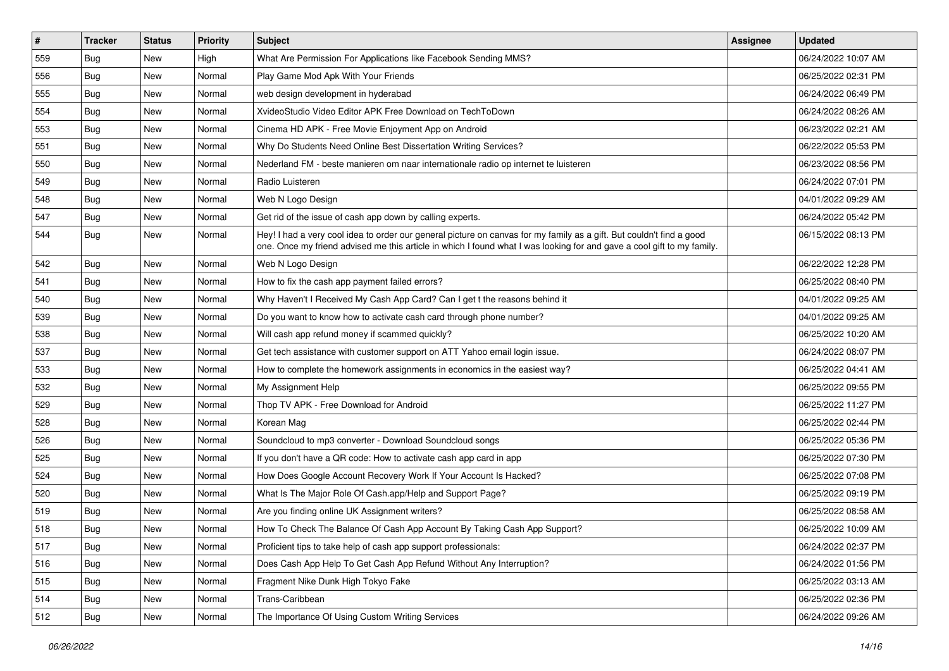| $\vert$ # | <b>Tracker</b> | <b>Status</b> | Priority | Subject                                                                                                                                                                                                                                        | <b>Assignee</b> | <b>Updated</b>      |
|-----------|----------------|---------------|----------|------------------------------------------------------------------------------------------------------------------------------------------------------------------------------------------------------------------------------------------------|-----------------|---------------------|
| 559       | <b>Bug</b>     | New           | High     | What Are Permission For Applications like Facebook Sending MMS?                                                                                                                                                                                |                 | 06/24/2022 10:07 AM |
| 556       | <b>Bug</b>     | New           | Normal   | Play Game Mod Apk With Your Friends                                                                                                                                                                                                            |                 | 06/25/2022 02:31 PM |
| 555       | Bug            | New           | Normal   | web design development in hyderabad                                                                                                                                                                                                            |                 | 06/24/2022 06:49 PM |
| 554       | Bug            | New           | Normal   | XvideoStudio Video Editor APK Free Download on TechToDown                                                                                                                                                                                      |                 | 06/24/2022 08:26 AM |
| 553       | Bug            | <b>New</b>    | Normal   | Cinema HD APK - Free Movie Enjoyment App on Android                                                                                                                                                                                            |                 | 06/23/2022 02:21 AM |
| 551       | Bug            | New           | Normal   | Why Do Students Need Online Best Dissertation Writing Services?                                                                                                                                                                                |                 | 06/22/2022 05:53 PM |
| 550       | Bug            | New           | Normal   | Nederland FM - beste manieren om naar internationale radio op internet te luisteren                                                                                                                                                            |                 | 06/23/2022 08:56 PM |
| 549       | <b>Bug</b>     | New           | Normal   | Radio Luisteren                                                                                                                                                                                                                                |                 | 06/24/2022 07:01 PM |
| 548       | <b>Bug</b>     | New           | Normal   | Web N Logo Design                                                                                                                                                                                                                              |                 | 04/01/2022 09:29 AM |
| 547       | Bug            | <b>New</b>    | Normal   | Get rid of the issue of cash app down by calling experts.                                                                                                                                                                                      |                 | 06/24/2022 05:42 PM |
| 544       | <b>Bug</b>     | New           | Normal   | Hey! I had a very cool idea to order our general picture on canvas for my family as a gift. But couldn't find a good<br>one. Once my friend advised me this article in which I found what I was looking for and gave a cool gift to my family. |                 | 06/15/2022 08:13 PM |
| 542       | Bug            | New           | Normal   | Web N Logo Design                                                                                                                                                                                                                              |                 | 06/22/2022 12:28 PM |
| 541       | Bug            | New           | Normal   | How to fix the cash app payment failed errors?                                                                                                                                                                                                 |                 | 06/25/2022 08:40 PM |
| 540       | Bug            | New           | Normal   | Why Haven't I Received My Cash App Card? Can I get t the reasons behind it                                                                                                                                                                     |                 | 04/01/2022 09:25 AM |
| 539       | <b>Bug</b>     | New           | Normal   | Do you want to know how to activate cash card through phone number?                                                                                                                                                                            |                 | 04/01/2022 09:25 AM |
| 538       | <b>Bug</b>     | New           | Normal   | Will cash app refund money if scammed quickly?                                                                                                                                                                                                 |                 | 06/25/2022 10:20 AM |
| 537       | Bug            | <b>New</b>    | Normal   | Get tech assistance with customer support on ATT Yahoo email login issue.                                                                                                                                                                      |                 | 06/24/2022 08:07 PM |
| 533       | <b>Bug</b>     | New           | Normal   | How to complete the homework assignments in economics in the easiest way?                                                                                                                                                                      |                 | 06/25/2022 04:41 AM |
| 532       | Bug            | New           | Normal   | My Assignment Help                                                                                                                                                                                                                             |                 | 06/25/2022 09:55 PM |
| 529       | Bug            | New           | Normal   | Thop TV APK - Free Download for Android                                                                                                                                                                                                        |                 | 06/25/2022 11:27 PM |
| 528       | Bug            | New           | Normal   | Korean Mag                                                                                                                                                                                                                                     |                 | 06/25/2022 02:44 PM |
| 526       | Bug            | New           | Normal   | Soundcloud to mp3 converter - Download Soundcloud songs                                                                                                                                                                                        |                 | 06/25/2022 05:36 PM |
| 525       | <b>Bug</b>     | New           | Normal   | If you don't have a QR code: How to activate cash app card in app                                                                                                                                                                              |                 | 06/25/2022 07:30 PM |
| 524       | <b>Bug</b>     | New           | Normal   | How Does Google Account Recovery Work If Your Account Is Hacked?                                                                                                                                                                               |                 | 06/25/2022 07:08 PM |
| 520       | <b>Bug</b>     | New           | Normal   | What Is The Major Role Of Cash.app/Help and Support Page?                                                                                                                                                                                      |                 | 06/25/2022 09:19 PM |
| 519       | Bug            | New           | Normal   | Are you finding online UK Assignment writers?                                                                                                                                                                                                  |                 | 06/25/2022 08:58 AM |
| 518       | <b>Bug</b>     | New           | Normal   | How To Check The Balance Of Cash App Account By Taking Cash App Support?                                                                                                                                                                       |                 | 06/25/2022 10:09 AM |
| 517       | Bug            | New           | Normal   | Proficient tips to take help of cash app support professionals:                                                                                                                                                                                |                 | 06/24/2022 02:37 PM |
| 516       | <b>Bug</b>     | New           | Normal   | Does Cash App Help To Get Cash App Refund Without Any Interruption?                                                                                                                                                                            |                 | 06/24/2022 01:56 PM |
| 515       | Bug            | New           | Normal   | Fragment Nike Dunk High Tokyo Fake                                                                                                                                                                                                             |                 | 06/25/2022 03:13 AM |
| 514       | <b>Bug</b>     | New           | Normal   | Trans-Caribbean                                                                                                                                                                                                                                |                 | 06/25/2022 02:36 PM |
| 512       | Bug            | New           | Normal   | The Importance Of Using Custom Writing Services                                                                                                                                                                                                |                 | 06/24/2022 09:26 AM |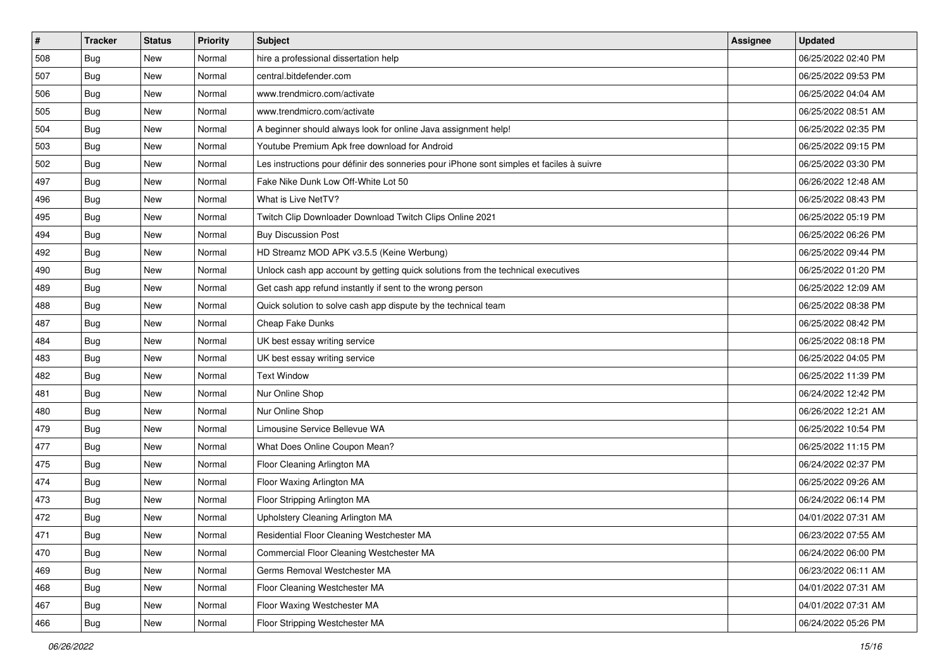| $\sharp$ | <b>Tracker</b> | <b>Status</b> | <b>Priority</b> | <b>Subject</b>                                                                           | <b>Assignee</b> | <b>Updated</b>      |
|----------|----------------|---------------|-----------------|------------------------------------------------------------------------------------------|-----------------|---------------------|
| 508      | <b>Bug</b>     | New           | Normal          | hire a professional dissertation help                                                    |                 | 06/25/2022 02:40 PM |
| 507      | Bug            | New           | Normal          | central.bitdefender.com                                                                  |                 | 06/25/2022 09:53 PM |
| 506      | Bug            | New           | Normal          | www.trendmicro.com/activate                                                              |                 | 06/25/2022 04:04 AM |
| 505      | <b>Bug</b>     | New           | Normal          | www.trendmicro.com/activate                                                              |                 | 06/25/2022 08:51 AM |
| 504      | <b>Bug</b>     | New           | Normal          | A beginner should always look for online Java assignment help!                           |                 | 06/25/2022 02:35 PM |
| 503      | <b>Bug</b>     | New           | Normal          | Youtube Premium Apk free download for Android                                            |                 | 06/25/2022 09:15 PM |
| 502      | Bug            | New           | Normal          | Les instructions pour définir des sonneries pour iPhone sont simples et faciles à suivre |                 | 06/25/2022 03:30 PM |
| 497      | <b>Bug</b>     | New           | Normal          | Fake Nike Dunk Low Off-White Lot 50                                                      |                 | 06/26/2022 12:48 AM |
| 496      | <b>Bug</b>     | New           | Normal          | What is Live NetTV?                                                                      |                 | 06/25/2022 08:43 PM |
| 495      | <b>Bug</b>     | <b>New</b>    | Normal          | Twitch Clip Downloader Download Twitch Clips Online 2021                                 |                 | 06/25/2022 05:19 PM |
| 494      | <b>Bug</b>     | New           | Normal          | <b>Buy Discussion Post</b>                                                               |                 | 06/25/2022 06:26 PM |
| 492      | <b>Bug</b>     | New           | Normal          | HD Streamz MOD APK v3.5.5 (Keine Werbung)                                                |                 | 06/25/2022 09:44 PM |
| 490      | Bug            | New           | Normal          | Unlock cash app account by getting quick solutions from the technical executives         |                 | 06/25/2022 01:20 PM |
| 489      | <b>Bug</b>     | New           | Normal          | Get cash app refund instantly if sent to the wrong person                                |                 | 06/25/2022 12:09 AM |
| 488      | <b>Bug</b>     | New           | Normal          | Quick solution to solve cash app dispute by the technical team                           |                 | 06/25/2022 08:38 PM |
| 487      | Bug            | New           | Normal          | Cheap Fake Dunks                                                                         |                 | 06/25/2022 08:42 PM |
| 484      | <b>Bug</b>     | New           | Normal          | UK best essay writing service                                                            |                 | 06/25/2022 08:18 PM |
| 483      | Bug            | New           | Normal          | UK best essay writing service                                                            |                 | 06/25/2022 04:05 PM |
| 482      | <b>Bug</b>     | New           | Normal          | <b>Text Window</b>                                                                       |                 | 06/25/2022 11:39 PM |
| 481      | Bug            | New           | Normal          | Nur Online Shop                                                                          |                 | 06/24/2022 12:42 PM |
| 480      | <b>Bug</b>     | New           | Normal          | Nur Online Shop                                                                          |                 | 06/26/2022 12:21 AM |
| 479      | <b>Bug</b>     | New           | Normal          | Limousine Service Bellevue WA                                                            |                 | 06/25/2022 10:54 PM |
| 477      | Bug            | New           | Normal          | What Does Online Coupon Mean?                                                            |                 | 06/25/2022 11:15 PM |
| 475      | <b>Bug</b>     | New           | Normal          | Floor Cleaning Arlington MA                                                              |                 | 06/24/2022 02:37 PM |
| 474      | Bug            | New           | Normal          | Floor Waxing Arlington MA                                                                |                 | 06/25/2022 09:26 AM |
| 473      | Bug            | New           | Normal          | Floor Stripping Arlington MA                                                             |                 | 06/24/2022 06:14 PM |
| 472      | <b>Bug</b>     | New           | Normal          | Upholstery Cleaning Arlington MA                                                         |                 | 04/01/2022 07:31 AM |
| 471      | <b>Bug</b>     | New           | Normal          | Residential Floor Cleaning Westchester MA                                                |                 | 06/23/2022 07:55 AM |
| 470      | <b>Bug</b>     | New           | Normal          | Commercial Floor Cleaning Westchester MA                                                 |                 | 06/24/2022 06:00 PM |
| 469      | <b>Bug</b>     | New           | Normal          | Germs Removal Westchester MA                                                             |                 | 06/23/2022 06:11 AM |
| 468      | Bug            | New           | Normal          | Floor Cleaning Westchester MA                                                            |                 | 04/01/2022 07:31 AM |
| 467      | <b>Bug</b>     | New           | Normal          | Floor Waxing Westchester MA                                                              |                 | 04/01/2022 07:31 AM |
| 466      | <b>Bug</b>     | New           | Normal          | Floor Stripping Westchester MA                                                           |                 | 06/24/2022 05:26 PM |